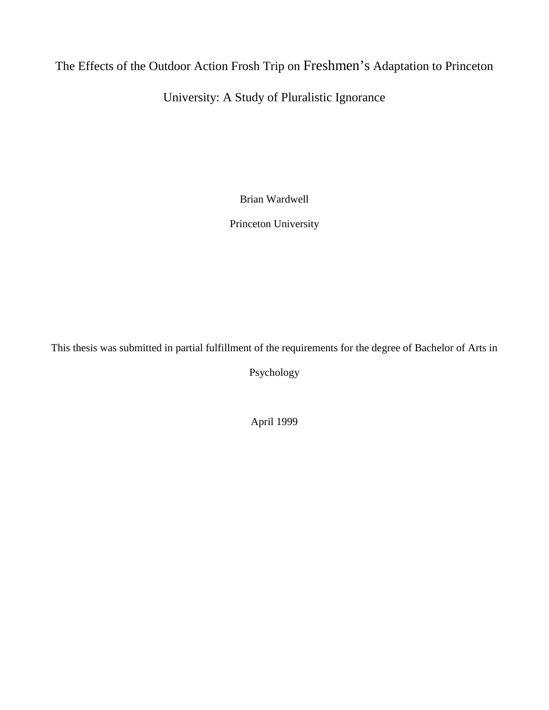# The Effects of the Outdoor Action Frosh Trip on Freshmen's Adaptation to Princeton

# University: A Study of Pluralistic Ignorance

Brian Wardwell

Princeton University

This thesis was submitted in partial fulfillment of the requirements for the degree of Bachelor of Arts in

Psychology

April 1999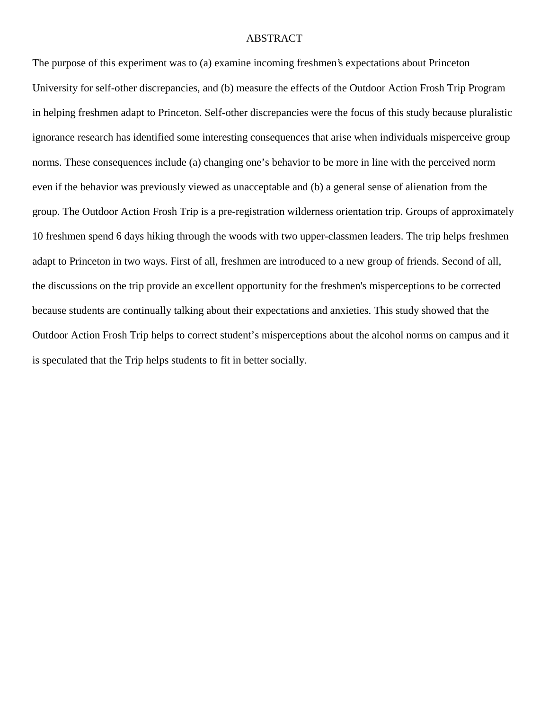#### ABSTRACT

The purpose of this experiment was to (a) examine incoming freshmen's expectations about Princeton University for self-other discrepancies, and (b) measure the effects of the Outdoor Action Frosh Trip Program in helping freshmen adapt to Princeton. Self-other discrepancies were the focus of this study because pluralistic ignorance research has identified some interesting consequences that arise when individuals misperceive group norms. These consequences include (a) changing one's behavior to be more in line with the perceived norm even if the behavior was previously viewed as unacceptable and (b) a general sense of alienation from the group. The Outdoor Action Frosh Trip is a pre-registration wilderness orientation trip. Groups of approximately 10 freshmen spend 6 days hiking through the woods with two upper-classmen leaders. The trip helps freshmen adapt to Princeton in two ways. First of all, freshmen are introduced to a new group of friends. Second of all, the discussions on the trip provide an excellent opportunity for the freshmen's misperceptions to be corrected because students are continually talking about their expectations and anxieties. This study showed that the Outdoor Action Frosh Trip helps to correct student's misperceptions about the alcohol norms on campus and it is speculated that the Trip helps students to fit in better socially.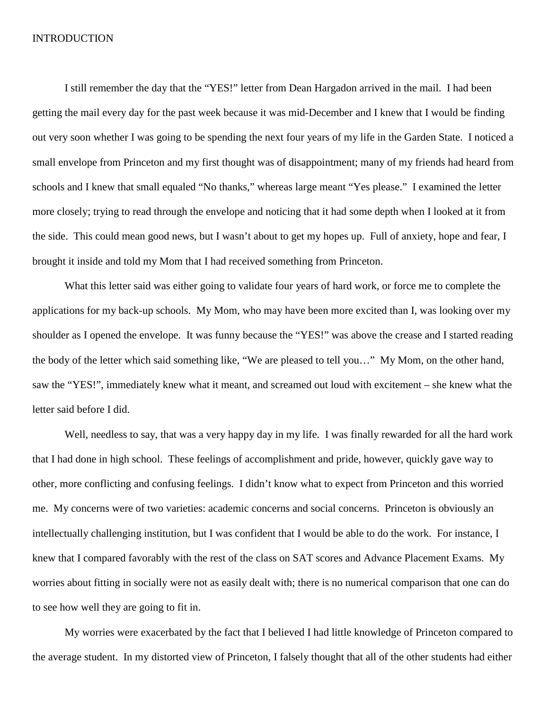#### INTRODUCTION

I still remember the day that the "YES!" letter from Dean Hargadon arrived in the mail. I had been getting the mail every day for the past week because it was mid-December and I knew that I would be finding out very soon whether I was going to be spending the next four years of my life in the Garden State. I noticed a small envelope from Princeton and my first thought was of disappointment; many of my friends had heard from schools and I knew that small equaled "No thanks," whereas large meant "Yes please." I examined the letter more closely; trying to read through the envelope and noticing that it had some depth when I looked at it from the side. This could mean good news, but I wasn't about to get my hopes up. Full of anxiety, hope and fear, I brought it inside and told my Mom that I had received something from Princeton.

What this letter said was either going to validate four years of hard work, or force me to complete the applications for my back-up schools. My Mom, who may have been more excited than I, was looking over my shoulder as I opened the envelope. It was funny because the "YES!" was above the crease and I started reading the body of the letter which said something like, "We are pleased to tell you…" My Mom, on the other hand, saw the "YES!", immediately knew what it meant, and screamed out loud with excitement – she knew what the letter said before I did.

Well, needless to say, that was a very happy day in my life. I was finally rewarded for all the hard work that I had done in high school. These feelings of accomplishment and pride, however, quickly gave way to other, more conflicting and confusing feelings. I didn't know what to expect from Princeton and this worried me. My concerns were of two varieties: academic concerns and social concerns. Princeton is obviously an intellectually challenging institution, but I was confident that I would be able to do the work. For instance, I knew that I compared favorably with the rest of the class on SAT scores and Advance Placement Exams. My worries about fitting in socially were not as easily dealt with; there is no numerical comparison that one can do to see how well they are going to fit in.

My worries were exacerbated by the fact that I believed I had little knowledge of Princeton compared to the average student. In my distorted view of Princeton, I falsely thought that all of the other students had either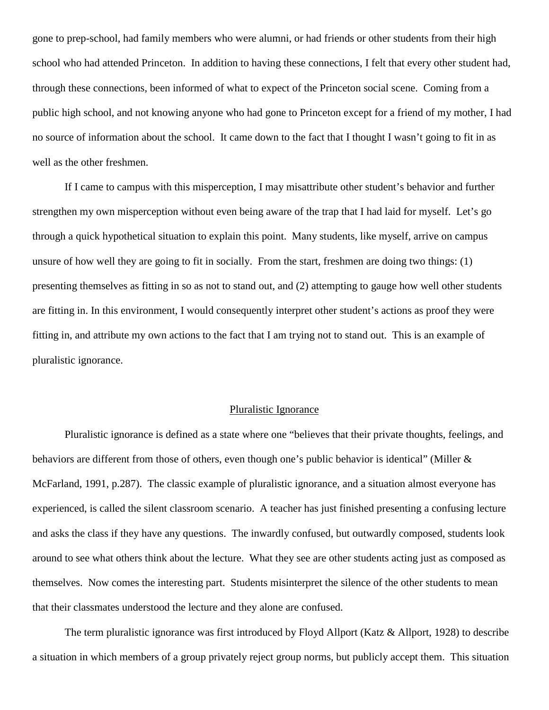gone to prep-school, had family members who were alumni, or had friends or other students from their high school who had attended Princeton. In addition to having these connections, I felt that every other student had, through these connections, been informed of what to expect of the Princeton social scene. Coming from a public high school, and not knowing anyone who had gone to Princeton except for a friend of my mother, I had no source of information about the school. It came down to the fact that I thought I wasn't going to fit in as well as the other freshmen.

If I came to campus with this misperception, I may misattribute other student's behavior and further strengthen my own misperception without even being aware of the trap that I had laid for myself. Let's go through a quick hypothetical situation to explain this point. Many students, like myself, arrive on campus unsure of how well they are going to fit in socially. From the start, freshmen are doing two things: (1) presenting themselves as fitting in so as not to stand out, and (2) attempting to gauge how well other students are fitting in. In this environment, I would consequently interpret other student's actions as proof they were fitting in, and attribute my own actions to the fact that I am trying not to stand out. This is an example of pluralistic ignorance.

#### Pluralistic Ignorance

Pluralistic ignorance is defined as a state where one "believes that their private thoughts, feelings, and behaviors are different from those of others, even though one's public behavior is identical" (Miller & McFarland, 1991, p.287). The classic example of pluralistic ignorance, and a situation almost everyone has experienced, is called the silent classroom scenario. A teacher has just finished presenting a confusing lecture and asks the class if they have any questions. The inwardly confused, but outwardly composed, students look around to see what others think about the lecture. What they see are other students acting just as composed as themselves. Now comes the interesting part. Students misinterpret the silence of the other students to mean that their classmates understood the lecture and they alone are confused.

The term pluralistic ignorance was first introduced by Floyd Allport (Katz & Allport, 1928) to describe a situation in which members of a group privately reject group norms, but publicly accept them. This situation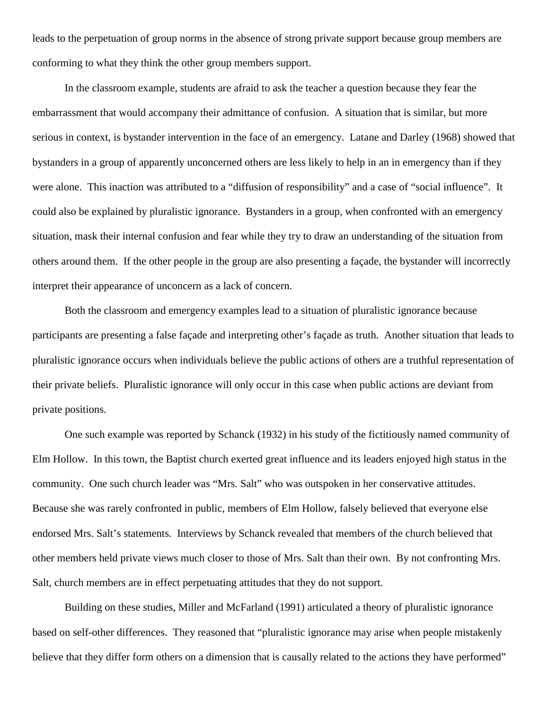leads to the perpetuation of group norms in the absence of strong private support because group members are conforming to what they think the other group members support.

In the classroom example, students are afraid to ask the teacher a question because they fear the embarrassment that would accompany their admittance of confusion. A situation that is similar, but more serious in context, is bystander intervention in the face of an emergency. Latane and Darley (1968) showed that bystanders in a group of apparently unconcerned others are less likely to help in an in emergency than if they were alone. This inaction was attributed to a "diffusion of responsibility" and a case of "social influence". It could also be explained by pluralistic ignorance. Bystanders in a group, when confronted with an emergency situation, mask their internal confusion and fear while they try to draw an understanding of the situation from others around them. If the other people in the group are also presenting a façade, the bystander will incorrectly interpret their appearance of unconcern as a lack of concern.

Both the classroom and emergency examples lead to a situation of pluralistic ignorance because participants are presenting a false façade and interpreting other's façade as truth. Another situation that leads to pluralistic ignorance occurs when individuals believe the public actions of others are a truthful representation of their private beliefs. Pluralistic ignorance will only occur in this case when public actions are deviant from private positions.

One such example was reported by Schanck (1932) in his study of the fictitiously named community of Elm Hollow. In this town, the Baptist church exerted great influence and its leaders enjoyed high status in the community. One such church leader was "Mrs. Salt" who was outspoken in her conservative attitudes. Because she was rarely confronted in public, members of Elm Hollow, falsely believed that everyone else endorsed Mrs. Salt's statements. Interviews by Schanck revealed that members of the church believed that other members held private views much closer to those of Mrs. Salt than their own. By not confronting Mrs. Salt, church members are in effect perpetuating attitudes that they do not support.

Building on these studies, Miller and McFarland (1991) articulated a theory of pluralistic ignorance based on self-other differences. They reasoned that "pluralistic ignorance may arise when people mistakenly believe that they differ form others on a dimension that is causally related to the actions they have performed"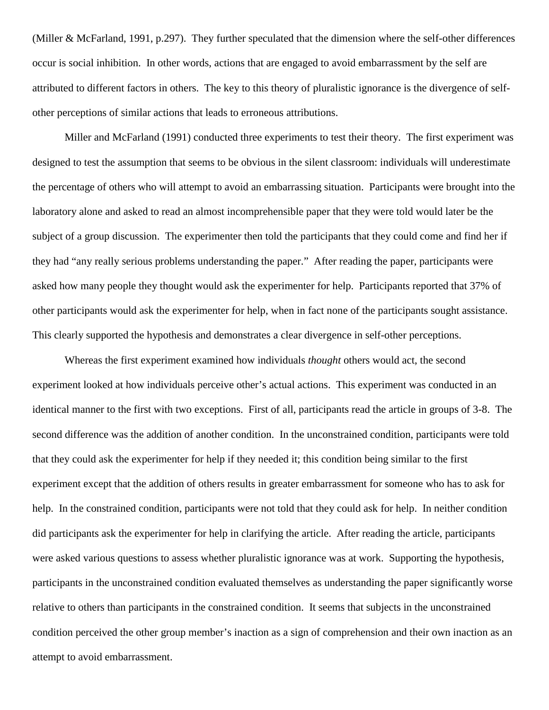(Miller & McFarland, 1991, p.297). They further speculated that the dimension where the self-other differences occur is social inhibition. In other words, actions that are engaged to avoid embarrassment by the self are attributed to different factors in others. The key to this theory of pluralistic ignorance is the divergence of selfother perceptions of similar actions that leads to erroneous attributions.

Miller and McFarland (1991) conducted three experiments to test their theory. The first experiment was designed to test the assumption that seems to be obvious in the silent classroom: individuals will underestimate the percentage of others who will attempt to avoid an embarrassing situation. Participants were brought into the laboratory alone and asked to read an almost incomprehensible paper that they were told would later be the subject of a group discussion. The experimenter then told the participants that they could come and find her if they had "any really serious problems understanding the paper." After reading the paper, participants were asked how many people they thought would ask the experimenter for help. Participants reported that 37% of other participants would ask the experimenter for help, when in fact none of the participants sought assistance. This clearly supported the hypothesis and demonstrates a clear divergence in self-other perceptions.

Whereas the first experiment examined how individuals *thought* others would act, the second experiment looked at how individuals perceive other's actual actions. This experiment was conducted in an identical manner to the first with two exceptions. First of all, participants read the article in groups of 3-8. The second difference was the addition of another condition. In the unconstrained condition, participants were told that they could ask the experimenter for help if they needed it; this condition being similar to the first experiment except that the addition of others results in greater embarrassment for someone who has to ask for help. In the constrained condition, participants were not told that they could ask for help. In neither condition did participants ask the experimenter for help in clarifying the article. After reading the article, participants were asked various questions to assess whether pluralistic ignorance was at work. Supporting the hypothesis, participants in the unconstrained condition evaluated themselves as understanding the paper significantly worse relative to others than participants in the constrained condition. It seems that subjects in the unconstrained condition perceived the other group member's inaction as a sign of comprehension and their own inaction as an attempt to avoid embarrassment.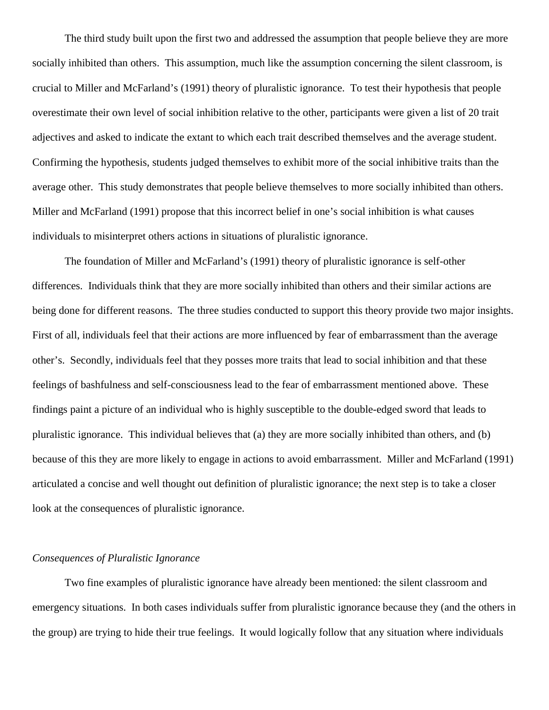The third study built upon the first two and addressed the assumption that people believe they are more socially inhibited than others. This assumption, much like the assumption concerning the silent classroom, is crucial to Miller and McFarland's (1991) theory of pluralistic ignorance. To test their hypothesis that people overestimate their own level of social inhibition relative to the other, participants were given a list of 20 trait adjectives and asked to indicate the extant to which each trait described themselves and the average student. Confirming the hypothesis, students judged themselves to exhibit more of the social inhibitive traits than the average other. This study demonstrates that people believe themselves to more socially inhibited than others. Miller and McFarland (1991) propose that this incorrect belief in one's social inhibition is what causes individuals to misinterpret others actions in situations of pluralistic ignorance.

The foundation of Miller and McFarland's (1991) theory of pluralistic ignorance is self-other differences. Individuals think that they are more socially inhibited than others and their similar actions are being done for different reasons. The three studies conducted to support this theory provide two major insights. First of all, individuals feel that their actions are more influenced by fear of embarrassment than the average other's. Secondly, individuals feel that they posses more traits that lead to social inhibition and that these feelings of bashfulness and self-consciousness lead to the fear of embarrassment mentioned above. These findings paint a picture of an individual who is highly susceptible to the double-edged sword that leads to pluralistic ignorance. This individual believes that (a) they are more socially inhibited than others, and (b) because of this they are more likely to engage in actions to avoid embarrassment. Miller and McFarland (1991) articulated a concise and well thought out definition of pluralistic ignorance; the next step is to take a closer look at the consequences of pluralistic ignorance.

### *Consequences of Pluralistic Ignorance*

Two fine examples of pluralistic ignorance have already been mentioned: the silent classroom and emergency situations. In both cases individuals suffer from pluralistic ignorance because they (and the others in the group) are trying to hide their true feelings. It would logically follow that any situation where individuals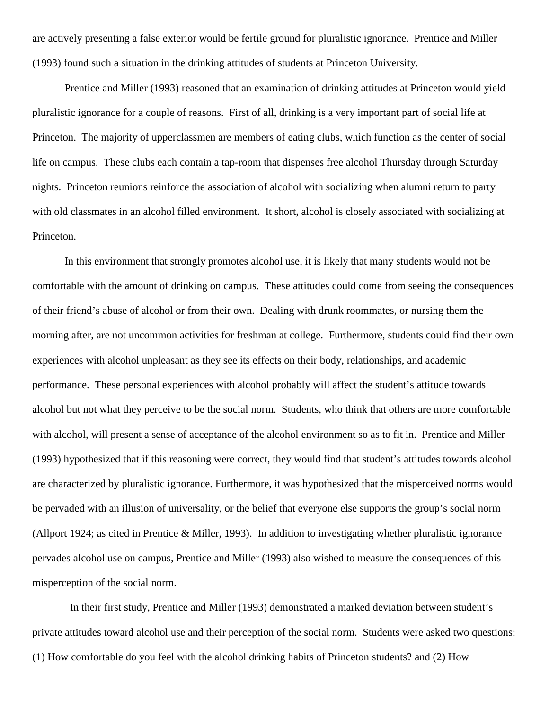are actively presenting a false exterior would be fertile ground for pluralistic ignorance. Prentice and Miller (1993) found such a situation in the drinking attitudes of students at Princeton University.

Prentice and Miller (1993) reasoned that an examination of drinking attitudes at Princeton would yield pluralistic ignorance for a couple of reasons. First of all, drinking is a very important part of social life at Princeton. The majority of upperclassmen are members of eating clubs, which function as the center of social life on campus. These clubs each contain a tap-room that dispenses free alcohol Thursday through Saturday nights. Princeton reunions reinforce the association of alcohol with socializing when alumni return to party with old classmates in an alcohol filled environment. It short, alcohol is closely associated with socializing at Princeton.

In this environment that strongly promotes alcohol use, it is likely that many students would not be comfortable with the amount of drinking on campus. These attitudes could come from seeing the consequences of their friend's abuse of alcohol or from their own. Dealing with drunk roommates, or nursing them the morning after, are not uncommon activities for freshman at college. Furthermore, students could find their own experiences with alcohol unpleasant as they see its effects on their body, relationships, and academic performance. These personal experiences with alcohol probably will affect the student's attitude towards alcohol but not what they perceive to be the social norm. Students, who think that others are more comfortable with alcohol, will present a sense of acceptance of the alcohol environment so as to fit in. Prentice and Miller (1993) hypothesized that if this reasoning were correct, they would find that student's attitudes towards alcohol are characterized by pluralistic ignorance. Furthermore, it was hypothesized that the misperceived norms would be pervaded with an illusion of universality, or the belief that everyone else supports the group's social norm (Allport 1924; as cited in Prentice & Miller, 1993). In addition to investigating whether pluralistic ignorance pervades alcohol use on campus, Prentice and Miller (1993) also wished to measure the consequences of this misperception of the social norm.

 In their first study, Prentice and Miller (1993) demonstrated a marked deviation between student's private attitudes toward alcohol use and their perception of the social norm. Students were asked two questions: (1) How comfortable do you feel with the alcohol drinking habits of Princeton students? and (2) How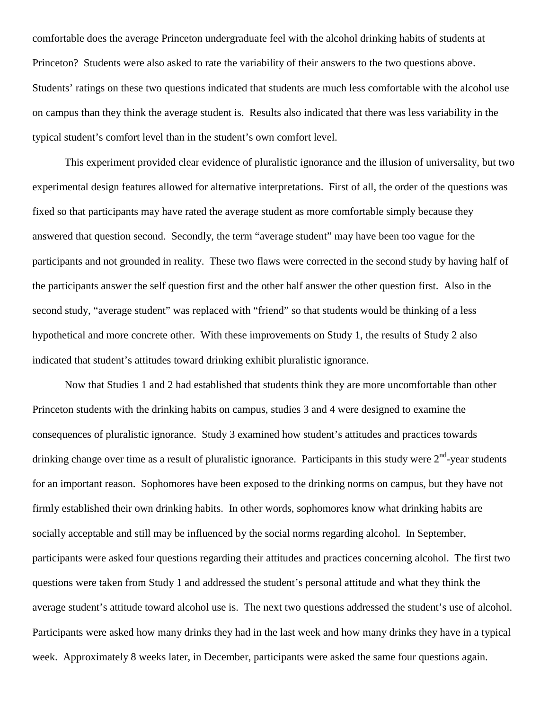comfortable does the average Princeton undergraduate feel with the alcohol drinking habits of students at Princeton? Students were also asked to rate the variability of their answers to the two questions above. Students' ratings on these two questions indicated that students are much less comfortable with the alcohol use on campus than they think the average student is. Results also indicated that there was less variability in the typical student's comfort level than in the student's own comfort level.

This experiment provided clear evidence of pluralistic ignorance and the illusion of universality, but two experimental design features allowed for alternative interpretations. First of all, the order of the questions was fixed so that participants may have rated the average student as more comfortable simply because they answered that question second. Secondly, the term "average student" may have been too vague for the participants and not grounded in reality. These two flaws were corrected in the second study by having half of the participants answer the self question first and the other half answer the other question first. Also in the second study, "average student" was replaced with "friend" so that students would be thinking of a less hypothetical and more concrete other. With these improvements on Study 1, the results of Study 2 also indicated that student's attitudes toward drinking exhibit pluralistic ignorance.

Now that Studies 1 and 2 had established that students think they are more uncomfortable than other Princeton students with the drinking habits on campus, studies 3 and 4 were designed to examine the consequences of pluralistic ignorance. Study 3 examined how student's attitudes and practices towards drinking change over time as a result of pluralistic ignorance. Participants in this study were  $2<sup>nd</sup>$ -year students for an important reason. Sophomores have been exposed to the drinking norms on campus, but they have not firmly established their own drinking habits. In other words, sophomores know what drinking habits are socially acceptable and still may be influenced by the social norms regarding alcohol. In September, participants were asked four questions regarding their attitudes and practices concerning alcohol. The first two questions were taken from Study 1 and addressed the student's personal attitude and what they think the average student's attitude toward alcohol use is. The next two questions addressed the student's use of alcohol. Participants were asked how many drinks they had in the last week and how many drinks they have in a typical week. Approximately 8 weeks later, in December, participants were asked the same four questions again.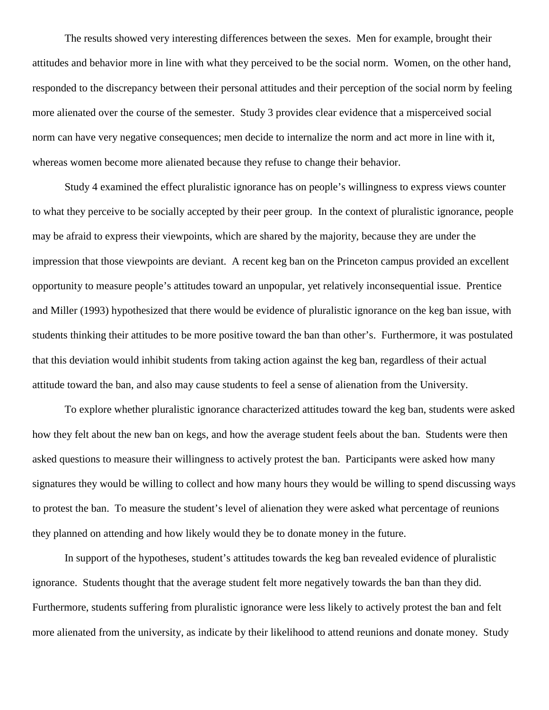The results showed very interesting differences between the sexes. Men for example, brought their attitudes and behavior more in line with what they perceived to be the social norm. Women, on the other hand, responded to the discrepancy between their personal attitudes and their perception of the social norm by feeling more alienated over the course of the semester. Study 3 provides clear evidence that a misperceived social norm can have very negative consequences; men decide to internalize the norm and act more in line with it, whereas women become more alienated because they refuse to change their behavior.

Study 4 examined the effect pluralistic ignorance has on people's willingness to express views counter to what they perceive to be socially accepted by their peer group. In the context of pluralistic ignorance, people may be afraid to express their viewpoints, which are shared by the majority, because they are under the impression that those viewpoints are deviant. A recent keg ban on the Princeton campus provided an excellent opportunity to measure people's attitudes toward an unpopular, yet relatively inconsequential issue. Prentice and Miller (1993) hypothesized that there would be evidence of pluralistic ignorance on the keg ban issue, with students thinking their attitudes to be more positive toward the ban than other's. Furthermore, it was postulated that this deviation would inhibit students from taking action against the keg ban, regardless of their actual attitude toward the ban, and also may cause students to feel a sense of alienation from the University.

To explore whether pluralistic ignorance characterized attitudes toward the keg ban, students were asked how they felt about the new ban on kegs, and how the average student feels about the ban. Students were then asked questions to measure their willingness to actively protest the ban. Participants were asked how many signatures they would be willing to collect and how many hours they would be willing to spend discussing ways to protest the ban. To measure the student's level of alienation they were asked what percentage of reunions they planned on attending and how likely would they be to donate money in the future.

In support of the hypotheses, student's attitudes towards the keg ban revealed evidence of pluralistic ignorance. Students thought that the average student felt more negatively towards the ban than they did. Furthermore, students suffering from pluralistic ignorance were less likely to actively protest the ban and felt more alienated from the university, as indicate by their likelihood to attend reunions and donate money. Study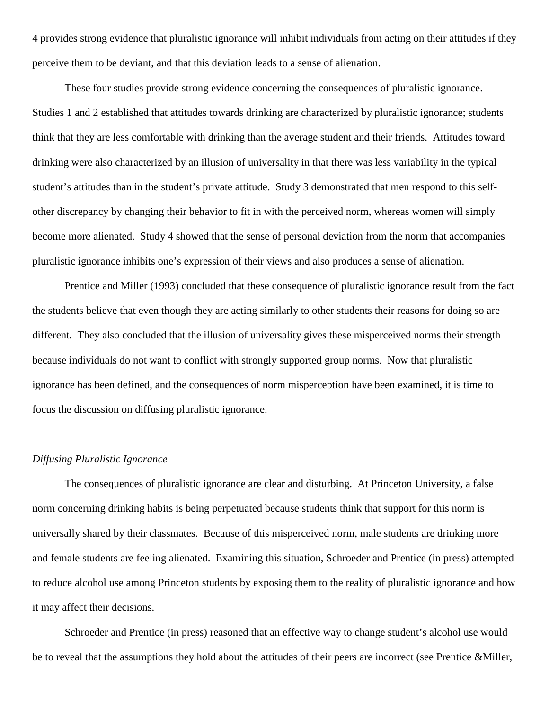4 provides strong evidence that pluralistic ignorance will inhibit individuals from acting on their attitudes if they perceive them to be deviant, and that this deviation leads to a sense of alienation.

These four studies provide strong evidence concerning the consequences of pluralistic ignorance. Studies 1 and 2 established that attitudes towards drinking are characterized by pluralistic ignorance; students think that they are less comfortable with drinking than the average student and their friends. Attitudes toward drinking were also characterized by an illusion of universality in that there was less variability in the typical student's attitudes than in the student's private attitude. Study 3 demonstrated that men respond to this selfother discrepancy by changing their behavior to fit in with the perceived norm, whereas women will simply become more alienated. Study 4 showed that the sense of personal deviation from the norm that accompanies pluralistic ignorance inhibits one's expression of their views and also produces a sense of alienation.

Prentice and Miller (1993) concluded that these consequence of pluralistic ignorance result from the fact the students believe that even though they are acting similarly to other students their reasons for doing so are different. They also concluded that the illusion of universality gives these misperceived norms their strength because individuals do not want to conflict with strongly supported group norms. Now that pluralistic ignorance has been defined, and the consequences of norm misperception have been examined, it is time to focus the discussion on diffusing pluralistic ignorance.

#### *Diffusing Pluralistic Ignorance*

The consequences of pluralistic ignorance are clear and disturbing. At Princeton University, a false norm concerning drinking habits is being perpetuated because students think that support for this norm is universally shared by their classmates. Because of this misperceived norm, male students are drinking more and female students are feeling alienated. Examining this situation, Schroeder and Prentice (in press) attempted to reduce alcohol use among Princeton students by exposing them to the reality of pluralistic ignorance and how it may affect their decisions.

Schroeder and Prentice (in press) reasoned that an effective way to change student's alcohol use would be to reveal that the assumptions they hold about the attitudes of their peers are incorrect (see Prentice &Miller,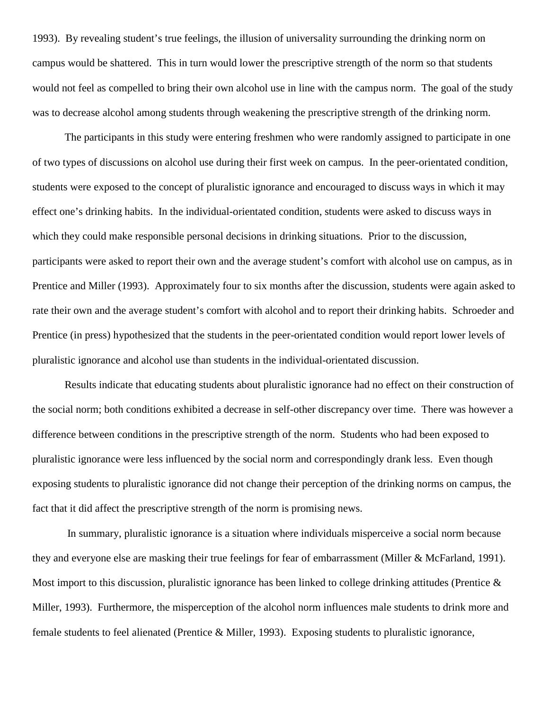1993). By revealing student's true feelings, the illusion of universality surrounding the drinking norm on campus would be shattered. This in turn would lower the prescriptive strength of the norm so that students would not feel as compelled to bring their own alcohol use in line with the campus norm. The goal of the study was to decrease alcohol among students through weakening the prescriptive strength of the drinking norm.

The participants in this study were entering freshmen who were randomly assigned to participate in one of two types of discussions on alcohol use during their first week on campus. In the peer-orientated condition, students were exposed to the concept of pluralistic ignorance and encouraged to discuss ways in which it may effect one's drinking habits. In the individual-orientated condition, students were asked to discuss ways in which they could make responsible personal decisions in drinking situations. Prior to the discussion, participants were asked to report their own and the average student's comfort with alcohol use on campus, as in Prentice and Miller (1993). Approximately four to six months after the discussion, students were again asked to rate their own and the average student's comfort with alcohol and to report their drinking habits. Schroeder and Prentice (in press) hypothesized that the students in the peer-orientated condition would report lower levels of pluralistic ignorance and alcohol use than students in the individual-orientated discussion.

Results indicate that educating students about pluralistic ignorance had no effect on their construction of the social norm; both conditions exhibited a decrease in self-other discrepancy over time. There was however a difference between conditions in the prescriptive strength of the norm. Students who had been exposed to pluralistic ignorance were less influenced by the social norm and correspondingly drank less. Even though exposing students to pluralistic ignorance did not change their perception of the drinking norms on campus, the fact that it did affect the prescriptive strength of the norm is promising news.

 In summary, pluralistic ignorance is a situation where individuals misperceive a social norm because they and everyone else are masking their true feelings for fear of embarrassment (Miller & McFarland, 1991). Most import to this discussion, pluralistic ignorance has been linked to college drinking attitudes (Prentice & Miller, 1993). Furthermore, the misperception of the alcohol norm influences male students to drink more and female students to feel alienated (Prentice & Miller, 1993). Exposing students to pluralistic ignorance,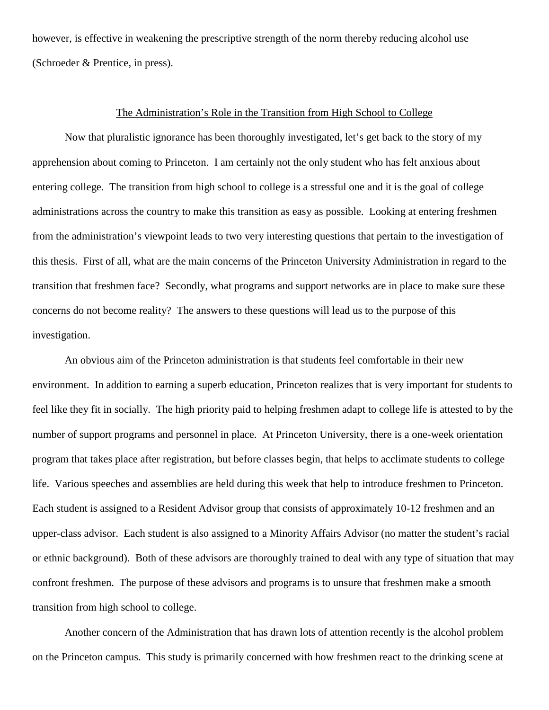however, is effective in weakening the prescriptive strength of the norm thereby reducing alcohol use (Schroeder & Prentice, in press).

#### The Administration's Role in the Transition from High School to College

Now that pluralistic ignorance has been thoroughly investigated, let's get back to the story of my apprehension about coming to Princeton. I am certainly not the only student who has felt anxious about entering college. The transition from high school to college is a stressful one and it is the goal of college administrations across the country to make this transition as easy as possible. Looking at entering freshmen from the administration's viewpoint leads to two very interesting questions that pertain to the investigation of this thesis. First of all, what are the main concerns of the Princeton University Administration in regard to the transition that freshmen face? Secondly, what programs and support networks are in place to make sure these concerns do not become reality? The answers to these questions will lead us to the purpose of this investigation.

An obvious aim of the Princeton administration is that students feel comfortable in their new environment. In addition to earning a superb education, Princeton realizes that is very important for students to feel like they fit in socially. The high priority paid to helping freshmen adapt to college life is attested to by the number of support programs and personnel in place. At Princeton University, there is a one-week orientation program that takes place after registration, but before classes begin, that helps to acclimate students to college life. Various speeches and assemblies are held during this week that help to introduce freshmen to Princeton. Each student is assigned to a Resident Advisor group that consists of approximately 10-12 freshmen and an upper-class advisor. Each student is also assigned to a Minority Affairs Advisor (no matter the student's racial or ethnic background). Both of these advisors are thoroughly trained to deal with any type of situation that may confront freshmen. The purpose of these advisors and programs is to unsure that freshmen make a smooth transition from high school to college.

Another concern of the Administration that has drawn lots of attention recently is the alcohol problem on the Princeton campus. This study is primarily concerned with how freshmen react to the drinking scene at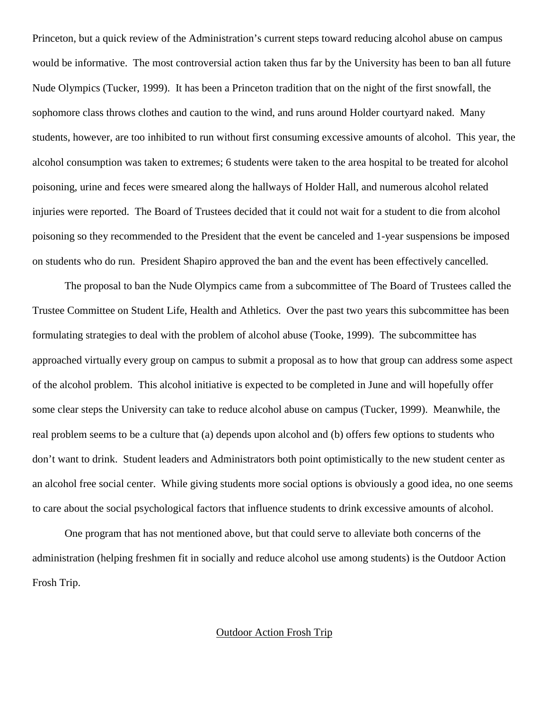Princeton, but a quick review of the Administration's current steps toward reducing alcohol abuse on campus would be informative. The most controversial action taken thus far by the University has been to ban all future Nude Olympics (Tucker, 1999). It has been a Princeton tradition that on the night of the first snowfall, the sophomore class throws clothes and caution to the wind, and runs around Holder courtyard naked. Many students, however, are too inhibited to run without first consuming excessive amounts of alcohol. This year, the alcohol consumption was taken to extremes; 6 students were taken to the area hospital to be treated for alcohol poisoning, urine and feces were smeared along the hallways of Holder Hall, and numerous alcohol related injuries were reported. The Board of Trustees decided that it could not wait for a student to die from alcohol poisoning so they recommended to the President that the event be canceled and 1-year suspensions be imposed on students who do run. President Shapiro approved the ban and the event has been effectively cancelled.

The proposal to ban the Nude Olympics came from a subcommittee of The Board of Trustees called the Trustee Committee on Student Life, Health and Athletics. Over the past two years this subcommittee has been formulating strategies to deal with the problem of alcohol abuse (Tooke, 1999). The subcommittee has approached virtually every group on campus to submit a proposal as to how that group can address some aspect of the alcohol problem. This alcohol initiative is expected to be completed in June and will hopefully offer some clear steps the University can take to reduce alcohol abuse on campus (Tucker, 1999). Meanwhile, the real problem seems to be a culture that (a) depends upon alcohol and (b) offers few options to students who don't want to drink. Student leaders and Administrators both point optimistically to the new student center as an alcohol free social center. While giving students more social options is obviously a good idea, no one seems to care about the social psychological factors that influence students to drink excessive amounts of alcohol.

One program that has not mentioned above, but that could serve to alleviate both concerns of the administration (helping freshmen fit in socially and reduce alcohol use among students) is the Outdoor Action Frosh Trip.

### Outdoor Action Frosh Trip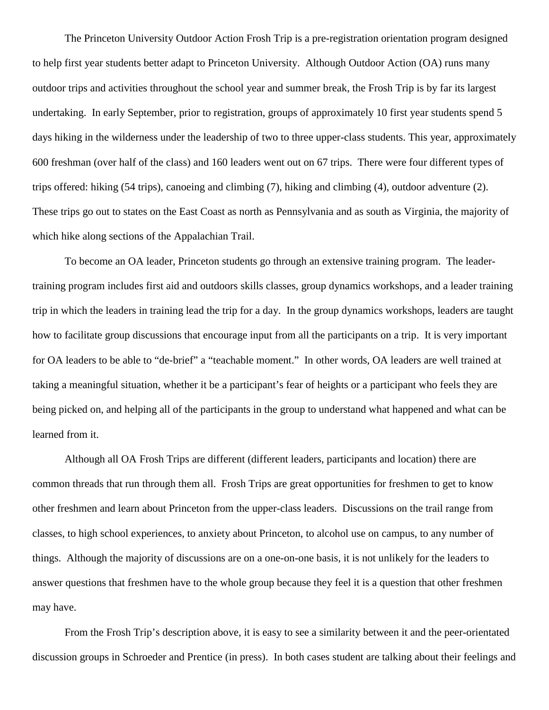The Princeton University Outdoor Action Frosh Trip is a pre-registration orientation program designed to help first year students better adapt to Princeton University. Although Outdoor Action (OA) runs many outdoor trips and activities throughout the school year and summer break, the Frosh Trip is by far its largest undertaking. In early September, prior to registration, groups of approximately 10 first year students spend 5 days hiking in the wilderness under the leadership of two to three upper-class students. This year, approximately 600 freshman (over half of the class) and 160 leaders went out on 67 trips. There were four different types of trips offered: hiking (54 trips), canoeing and climbing (7), hiking and climbing (4), outdoor adventure (2). These trips go out to states on the East Coast as north as Pennsylvania and as south as Virginia, the majority of which hike along sections of the Appalachian Trail.

To become an OA leader, Princeton students go through an extensive training program. The leadertraining program includes first aid and outdoors skills classes, group dynamics workshops, and a leader training trip in which the leaders in training lead the trip for a day. In the group dynamics workshops, leaders are taught how to facilitate group discussions that encourage input from all the participants on a trip. It is very important for OA leaders to be able to "de-brief" a "teachable moment." In other words, OA leaders are well trained at taking a meaningful situation, whether it be a participant's fear of heights or a participant who feels they are being picked on, and helping all of the participants in the group to understand what happened and what can be learned from it.

Although all OA Frosh Trips are different (different leaders, participants and location) there are common threads that run through them all. Frosh Trips are great opportunities for freshmen to get to know other freshmen and learn about Princeton from the upper-class leaders. Discussions on the trail range from classes, to high school experiences, to anxiety about Princeton, to alcohol use on campus, to any number of things. Although the majority of discussions are on a one-on-one basis, it is not unlikely for the leaders to answer questions that freshmen have to the whole group because they feel it is a question that other freshmen may have.

From the Frosh Trip's description above, it is easy to see a similarity between it and the peer-orientated discussion groups in Schroeder and Prentice (in press). In both cases student are talking about their feelings and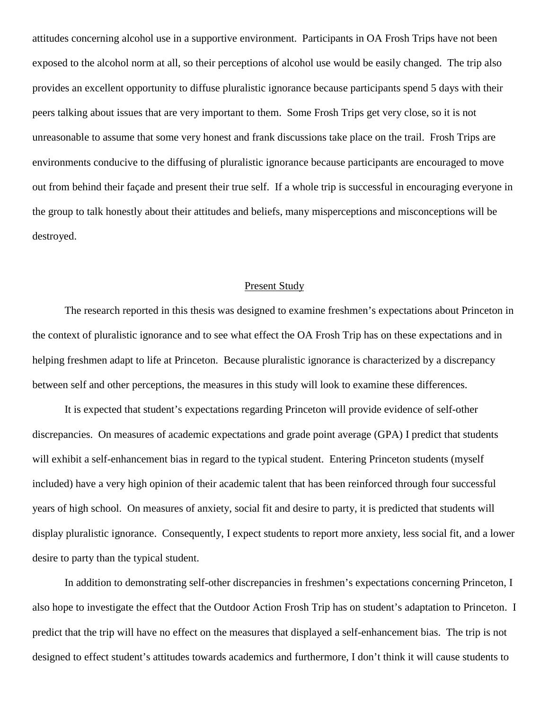attitudes concerning alcohol use in a supportive environment. Participants in OA Frosh Trips have not been exposed to the alcohol norm at all, so their perceptions of alcohol use would be easily changed. The trip also provides an excellent opportunity to diffuse pluralistic ignorance because participants spend 5 days with their peers talking about issues that are very important to them. Some Frosh Trips get very close, so it is not unreasonable to assume that some very honest and frank discussions take place on the trail. Frosh Trips are environments conducive to the diffusing of pluralistic ignorance because participants are encouraged to move out from behind their façade and present their true self. If a whole trip is successful in encouraging everyone in the group to talk honestly about their attitudes and beliefs, many misperceptions and misconceptions will be destroyed.

#### Present Study

The research reported in this thesis was designed to examine freshmen's expectations about Princeton in the context of pluralistic ignorance and to see what effect the OA Frosh Trip has on these expectations and in helping freshmen adapt to life at Princeton. Because pluralistic ignorance is characterized by a discrepancy between self and other perceptions, the measures in this study will look to examine these differences.

It is expected that student's expectations regarding Princeton will provide evidence of self-other discrepancies. On measures of academic expectations and grade point average (GPA) I predict that students will exhibit a self-enhancement bias in regard to the typical student. Entering Princeton students (myself included) have a very high opinion of their academic talent that has been reinforced through four successful years of high school. On measures of anxiety, social fit and desire to party, it is predicted that students will display pluralistic ignorance. Consequently, I expect students to report more anxiety, less social fit, and a lower desire to party than the typical student.

In addition to demonstrating self-other discrepancies in freshmen's expectations concerning Princeton, I also hope to investigate the effect that the Outdoor Action Frosh Trip has on student's adaptation to Princeton. I predict that the trip will have no effect on the measures that displayed a self-enhancement bias. The trip is not designed to effect student's attitudes towards academics and furthermore, I don't think it will cause students to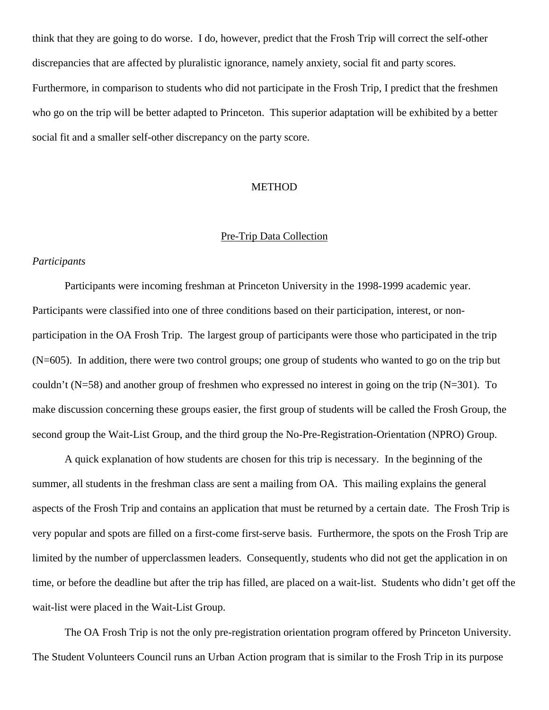think that they are going to do worse. I do, however, predict that the Frosh Trip will correct the self-other discrepancies that are affected by pluralistic ignorance, namely anxiety, social fit and party scores. Furthermore, in comparison to students who did not participate in the Frosh Trip, I predict that the freshmen who go on the trip will be better adapted to Princeton. This superior adaptation will be exhibited by a better social fit and a smaller self-other discrepancy on the party score.

#### METHOD

### Pre-Trip Data Collection

#### *Participants*

Participants were incoming freshman at Princeton University in the 1998-1999 academic year. Participants were classified into one of three conditions based on their participation, interest, or nonparticipation in the OA Frosh Trip. The largest group of participants were those who participated in the trip (N=605). In addition, there were two control groups; one group of students who wanted to go on the trip but couldn't (N=58) and another group of freshmen who expressed no interest in going on the trip (N=301). To make discussion concerning these groups easier, the first group of students will be called the Frosh Group, the second group the Wait-List Group, and the third group the No-Pre-Registration-Orientation (NPRO) Group.

A quick explanation of how students are chosen for this trip is necessary. In the beginning of the summer, all students in the freshman class are sent a mailing from OA. This mailing explains the general aspects of the Frosh Trip and contains an application that must be returned by a certain date. The Frosh Trip is very popular and spots are filled on a first-come first-serve basis. Furthermore, the spots on the Frosh Trip are limited by the number of upperclassmen leaders. Consequently, students who did not get the application in on time, or before the deadline but after the trip has filled, are placed on a wait-list. Students who didn't get off the wait-list were placed in the Wait-List Group.

The OA Frosh Trip is not the only pre-registration orientation program offered by Princeton University. The Student Volunteers Council runs an Urban Action program that is similar to the Frosh Trip in its purpose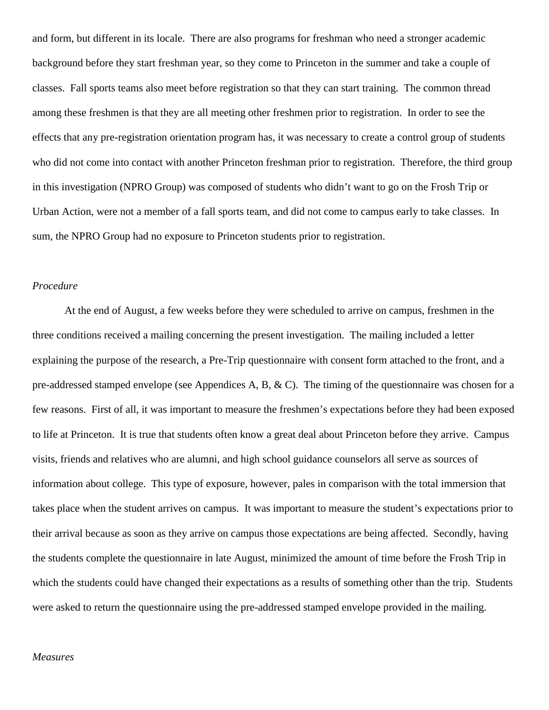and form, but different in its locale. There are also programs for freshman who need a stronger academic background before they start freshman year, so they come to Princeton in the summer and take a couple of classes. Fall sports teams also meet before registration so that they can start training. The common thread among these freshmen is that they are all meeting other freshmen prior to registration. In order to see the effects that any pre-registration orientation program has, it was necessary to create a control group of students who did not come into contact with another Princeton freshman prior to registration. Therefore, the third group in this investigation (NPRO Group) was composed of students who didn't want to go on the Frosh Trip or Urban Action, were not a member of a fall sports team, and did not come to campus early to take classes. In sum, the NPRO Group had no exposure to Princeton students prior to registration.

#### *Procedure*

At the end of August, a few weeks before they were scheduled to arrive on campus, freshmen in the three conditions received a mailing concerning the present investigation. The mailing included a letter explaining the purpose of the research, a Pre-Trip questionnaire with consent form attached to the front, and a pre-addressed stamped envelope (see Appendices A, B, & C). The timing of the questionnaire was chosen for a few reasons. First of all, it was important to measure the freshmen's expectations before they had been exposed to life at Princeton. It is true that students often know a great deal about Princeton before they arrive. Campus visits, friends and relatives who are alumni, and high school guidance counselors all serve as sources of information about college. This type of exposure, however, pales in comparison with the total immersion that takes place when the student arrives on campus. It was important to measure the student's expectations prior to their arrival because as soon as they arrive on campus those expectations are being affected. Secondly, having the students complete the questionnaire in late August, minimized the amount of time before the Frosh Trip in which the students could have changed their expectations as a results of something other than the trip. Students were asked to return the questionnaire using the pre-addressed stamped envelope provided in the mailing.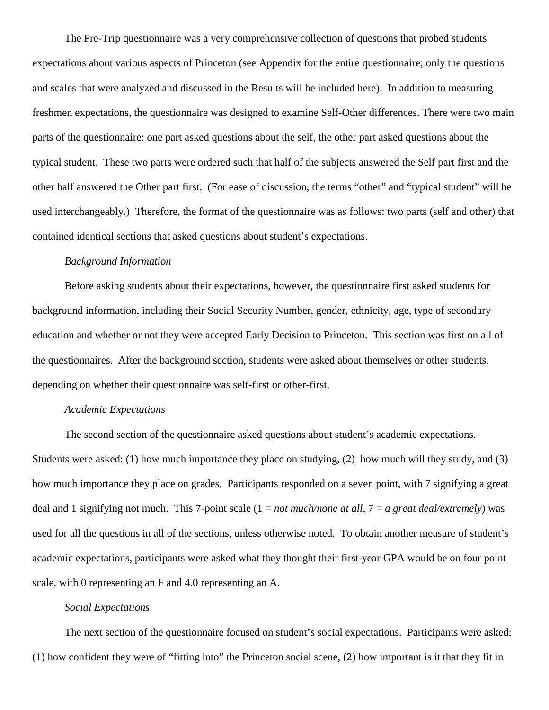The Pre-Trip questionnaire was a very comprehensive collection of questions that probed students expectations about various aspects of Princeton (see Appendix for the entire questionnaire; only the questions and scales that were analyzed and discussed in the Results will be included here). In addition to measuring freshmen expectations, the questionnaire was designed to examine Self-Other differences. There were two main parts of the questionnaire: one part asked questions about the self, the other part asked questions about the typical student. These two parts were ordered such that half of the subjects answered the Self part first and the other half answered the Other part first. (For ease of discussion, the terms "other" and "typical student" will be used interchangeably.) Therefore, the format of the questionnaire was as follows: two parts (self and other) that contained identical sections that asked questions about student's expectations.

#### *Background Information*

Before asking students about their expectations, however, the questionnaire first asked students for background information, including their Social Security Number, gender, ethnicity, age, type of secondary education and whether or not they were accepted Early Decision to Princeton. This section was first on all of the questionnaires. After the background section, students were asked about themselves or other students, depending on whether their questionnaire was self-first or other-first.

#### *Academic Expectations*

The second section of the questionnaire asked questions about student's academic expectations. Students were asked: (1) how much importance they place on studying, (2) how much will they study, and (3) how much importance they place on grades. Participants responded on a seven point, with 7 signifying a great deal and 1 signifying not much. This 7-point scale (1 = *not much/none at all*, 7 = *a great deal/extremely*) was used for all the questions in all of the sections, unless otherwise noted. To obtain another measure of student's academic expectations, participants were asked what they thought their first-year GPA would be on four point scale, with 0 representing an F and 4.0 representing an A.

### *Social Expectations*

The next section of the questionnaire focused on student's social expectations. Participants were asked: (1) how confident they were of "fitting into" the Princeton social scene, (2) how important is it that they fit in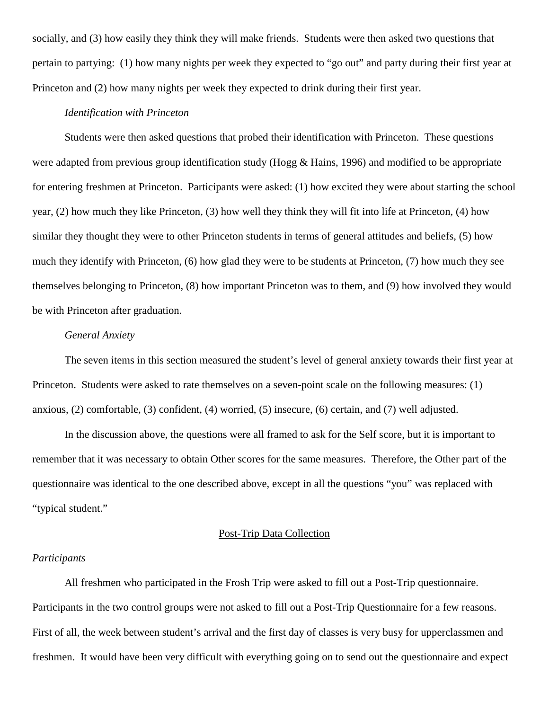socially, and (3) how easily they think they will make friends. Students were then asked two questions that pertain to partying: (1) how many nights per week they expected to "go out" and party during their first year at Princeton and (2) how many nights per week they expected to drink during their first year.

#### *Identification with Princeton*

Students were then asked questions that probed their identification with Princeton. These questions were adapted from previous group identification study (Hogg & Hains, 1996) and modified to be appropriate for entering freshmen at Princeton. Participants were asked: (1) how excited they were about starting the school year, (2) how much they like Princeton, (3) how well they think they will fit into life at Princeton, (4) how similar they thought they were to other Princeton students in terms of general attitudes and beliefs, (5) how much they identify with Princeton, (6) how glad they were to be students at Princeton, (7) how much they see themselves belonging to Princeton, (8) how important Princeton was to them, and (9) how involved they would be with Princeton after graduation.

## *General Anxiety*

The seven items in this section measured the student's level of general anxiety towards their first year at Princeton. Students were asked to rate themselves on a seven-point scale on the following measures: (1) anxious, (2) comfortable, (3) confident, (4) worried, (5) insecure, (6) certain, and (7) well adjusted.

In the discussion above, the questions were all framed to ask for the Self score, but it is important to remember that it was necessary to obtain Other scores for the same measures. Therefore, the Other part of the questionnaire was identical to the one described above, except in all the questions "you" was replaced with "typical student."

#### Post-Trip Data Collection

#### *Participants*

All freshmen who participated in the Frosh Trip were asked to fill out a Post-Trip questionnaire. Participants in the two control groups were not asked to fill out a Post-Trip Questionnaire for a few reasons. First of all, the week between student's arrival and the first day of classes is very busy for upperclassmen and freshmen. It would have been very difficult with everything going on to send out the questionnaire and expect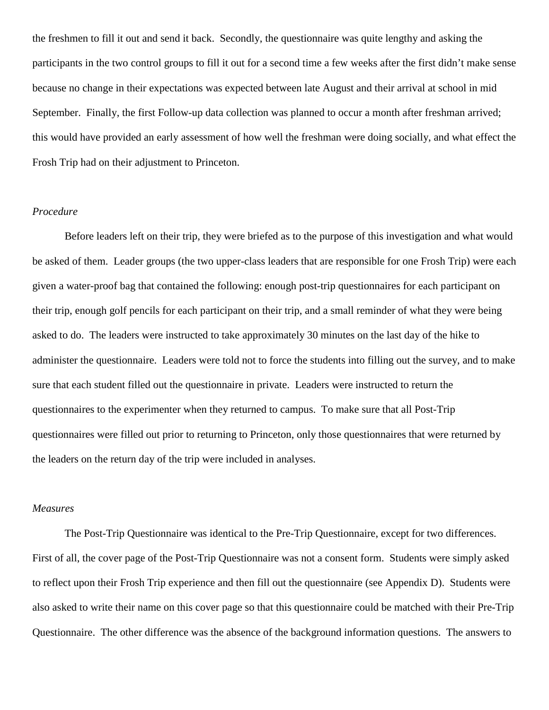the freshmen to fill it out and send it back. Secondly, the questionnaire was quite lengthy and asking the participants in the two control groups to fill it out for a second time a few weeks after the first didn't make sense because no change in their expectations was expected between late August and their arrival at school in mid September. Finally, the first Follow-up data collection was planned to occur a month after freshman arrived; this would have provided an early assessment of how well the freshman were doing socially, and what effect the Frosh Trip had on their adjustment to Princeton.

### *Procedure*

Before leaders left on their trip, they were briefed as to the purpose of this investigation and what would be asked of them. Leader groups (the two upper-class leaders that are responsible for one Frosh Trip) were each given a water-proof bag that contained the following: enough post-trip questionnaires for each participant on their trip, enough golf pencils for each participant on their trip, and a small reminder of what they were being asked to do. The leaders were instructed to take approximately 30 minutes on the last day of the hike to administer the questionnaire. Leaders were told not to force the students into filling out the survey, and to make sure that each student filled out the questionnaire in private. Leaders were instructed to return the questionnaires to the experimenter when they returned to campus. To make sure that all Post-Trip questionnaires were filled out prior to returning to Princeton, only those questionnaires that were returned by the leaders on the return day of the trip were included in analyses.

#### *Measures*

The Post-Trip Questionnaire was identical to the Pre-Trip Questionnaire, except for two differences. First of all, the cover page of the Post-Trip Questionnaire was not a consent form. Students were simply asked to reflect upon their Frosh Trip experience and then fill out the questionnaire (see Appendix D). Students were also asked to write their name on this cover page so that this questionnaire could be matched with their Pre-Trip Questionnaire. The other difference was the absence of the background information questions. The answers to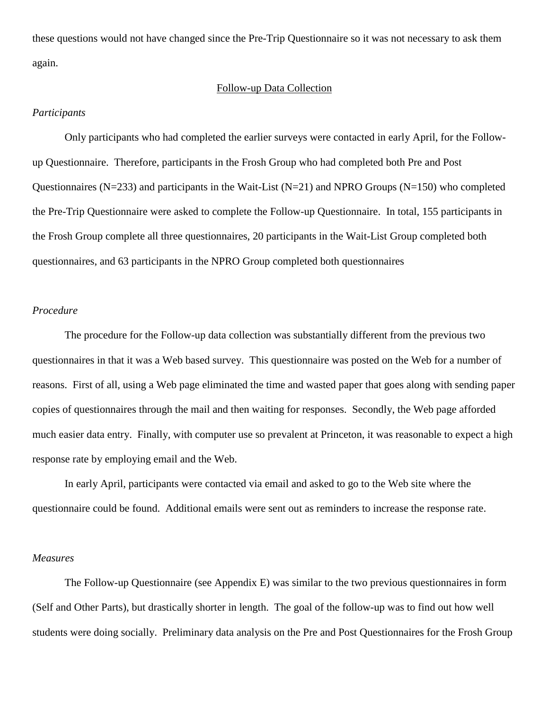these questions would not have changed since the Pre-Trip Questionnaire so it was not necessary to ask them again.

#### Follow-up Data Collection

#### *Participants*

Only participants who had completed the earlier surveys were contacted in early April, for the Followup Questionnaire. Therefore, participants in the Frosh Group who had completed both Pre and Post Questionnaires ( $N=233$ ) and participants in the Wait-List ( $N=21$ ) and NPRO Groups ( $N=150$ ) who completed the Pre-Trip Questionnaire were asked to complete the Follow-up Questionnaire. In total, 155 participants in the Frosh Group complete all three questionnaires, 20 participants in the Wait-List Group completed both questionnaires, and 63 participants in the NPRO Group completed both questionnaires

### *Procedure*

The procedure for the Follow-up data collection was substantially different from the previous two questionnaires in that it was a Web based survey. This questionnaire was posted on the Web for a number of reasons. First of all, using a Web page eliminated the time and wasted paper that goes along with sending paper copies of questionnaires through the mail and then waiting for responses. Secondly, the Web page afforded much easier data entry. Finally, with computer use so prevalent at Princeton, it was reasonable to expect a high response rate by employing email and the Web.

In early April, participants were contacted via email and asked to go to the Web site where the questionnaire could be found. Additional emails were sent out as reminders to increase the response rate.

#### *Measures*

The Follow-up Questionnaire (see Appendix E) was similar to the two previous questionnaires in form (Self and Other Parts), but drastically shorter in length. The goal of the follow-up was to find out how well students were doing socially. Preliminary data analysis on the Pre and Post Questionnaires for the Frosh Group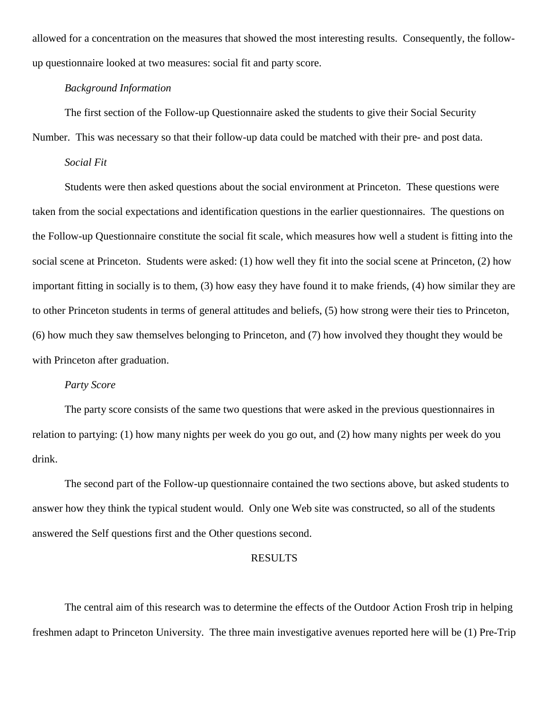allowed for a concentration on the measures that showed the most interesting results. Consequently, the followup questionnaire looked at two measures: social fit and party score.

### *Background Information*

The first section of the Follow-up Questionnaire asked the students to give their Social Security

Number. This was necessary so that their follow-up data could be matched with their pre- and post data.

#### *Social Fit*

Students were then asked questions about the social environment at Princeton. These questions were taken from the social expectations and identification questions in the earlier questionnaires. The questions on the Follow-up Questionnaire constitute the social fit scale, which measures how well a student is fitting into the social scene at Princeton. Students were asked: (1) how well they fit into the social scene at Princeton, (2) how important fitting in socially is to them, (3) how easy they have found it to make friends, (4) how similar they are to other Princeton students in terms of general attitudes and beliefs, (5) how strong were their ties to Princeton, (6) how much they saw themselves belonging to Princeton, and (7) how involved they thought they would be with Princeton after graduation.

## *Party Score*

The party score consists of the same two questions that were asked in the previous questionnaires in relation to partying: (1) how many nights per week do you go out, and (2) how many nights per week do you drink.

The second part of the Follow-up questionnaire contained the two sections above, but asked students to answer how they think the typical student would. Only one Web site was constructed, so all of the students answered the Self questions first and the Other questions second.

#### RESULTS

The central aim of this research was to determine the effects of the Outdoor Action Frosh trip in helping freshmen adapt to Princeton University. The three main investigative avenues reported here will be (1) Pre-Trip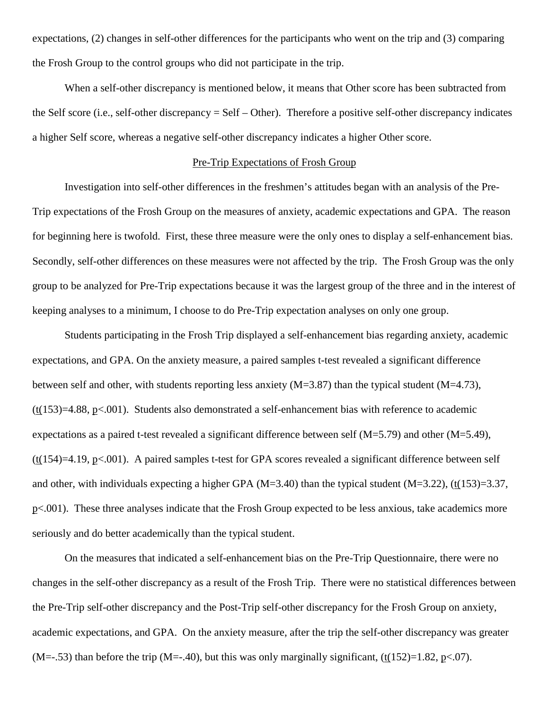expectations, (2) changes in self-other differences for the participants who went on the trip and (3) comparing the Frosh Group to the control groups who did not participate in the trip.

When a self-other discrepancy is mentioned below, it means that Other score has been subtracted from the Self score (i.e., self-other discrepancy = Self – Other). Therefore a positive self-other discrepancy indicates a higher Self score, whereas a negative self-other discrepancy indicates a higher Other score.

#### Pre-Trip Expectations of Frosh Group

Investigation into self-other differences in the freshmen's attitudes began with an analysis of the Pre-Trip expectations of the Frosh Group on the measures of anxiety, academic expectations and GPA. The reason for beginning here is twofold. First, these three measure were the only ones to display a self-enhancement bias. Secondly, self-other differences on these measures were not affected by the trip. The Frosh Group was the only group to be analyzed for Pre-Trip expectations because it was the largest group of the three and in the interest of keeping analyses to a minimum, I choose to do Pre-Trip expectation analyses on only one group.

Students participating in the Frosh Trip displayed a self-enhancement bias regarding anxiety, academic expectations, and GPA. On the anxiety measure, a paired samples t-test revealed a significant difference between self and other, with students reporting less anxiety (M=3.87) than the typical student (M=4.73),  $(t(153)=4.88, p<.001)$ . Students also demonstrated a self-enhancement bias with reference to academic expectations as a paired t-test revealed a significant difference between self  $(M=5.79)$  and other  $(M=5.49)$ , (t(154)=4.19, p<.001). A paired samples t-test for GPA scores revealed a significant difference between self and other, with individuals expecting a higher GPA ( $M=3.40$ ) than the typical student ( $M=3.22$ ), (t(153)=3.37, p<.001). These three analyses indicate that the Frosh Group expected to be less anxious, take academics more seriously and do better academically than the typical student.

On the measures that indicated a self-enhancement bias on the Pre-Trip Questionnaire, there were no changes in the self-other discrepancy as a result of the Frosh Trip. There were no statistical differences between the Pre-Trip self-other discrepancy and the Post-Trip self-other discrepancy for the Frosh Group on anxiety, academic expectations, and GPA. On the anxiety measure, after the trip the self-other discrepancy was greater  $(M=-.53)$  than before the trip  $(M=-.40)$ , but this was only marginally significant,  $(t(152)=1.82, p<.07)$ .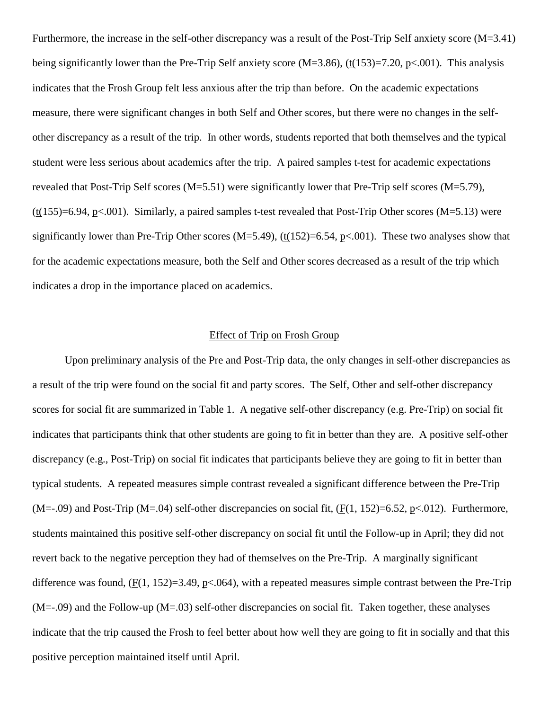Furthermore, the increase in the self-other discrepancy was a result of the Post-Trip Self anxiety score (M=3.41) being significantly lower than the Pre-Trip Self anxiety score (M=3.86), (t(153)=7.20, p<.001). This analysis indicates that the Frosh Group felt less anxious after the trip than before. On the academic expectations measure, there were significant changes in both Self and Other scores, but there were no changes in the selfother discrepancy as a result of the trip. In other words, students reported that both themselves and the typical student were less serious about academics after the trip. A paired samples t-test for academic expectations revealed that Post-Trip Self scores (M=5.51) were significantly lower that Pre-Trip self scores (M=5.79),  $(t(155)=6.94, p<.001)$ . Similarly, a paired samples t-test revealed that Post-Trip Other scores (M=5.13) were significantly lower than Pre-Trip Other scores (M=5.49),  $(\underline{t}(152)=6.54, \underline{p}<-001)$ . These two analyses show that for the academic expectations measure, both the Self and Other scores decreased as a result of the trip which indicates a drop in the importance placed on academics.

# Effect of Trip on Frosh Group

Upon preliminary analysis of the Pre and Post-Trip data, the only changes in self-other discrepancies as a result of the trip were found on the social fit and party scores. The Self, Other and self-other discrepancy scores for social fit are summarized in Table 1. A negative self-other discrepancy (e.g. Pre-Trip) on social fit indicates that participants think that other students are going to fit in better than they are. A positive self-other discrepancy (e.g., Post-Trip) on social fit indicates that participants believe they are going to fit in better than typical students. A repeated measures simple contrast revealed a significant difference between the Pre-Trip  $(M=-.09)$  and Post-Trip  $(M=.04)$  self-other discrepancies on social fit,  $(F(1, 152)=6.52, p<0.012)$ . Furthermore, students maintained this positive self-other discrepancy on social fit until the Follow-up in April; they did not revert back to the negative perception they had of themselves on the Pre-Trip. A marginally significant difference was found,  $(F(1, 152)=3.49, p<0.64)$ , with a repeated measures simple contrast between the Pre-Trip  $(M=-.09)$  and the Follow-up  $(M=.03)$  self-other discrepancies on social fit. Taken together, these analyses indicate that the trip caused the Frosh to feel better about how well they are going to fit in socially and that this positive perception maintained itself until April.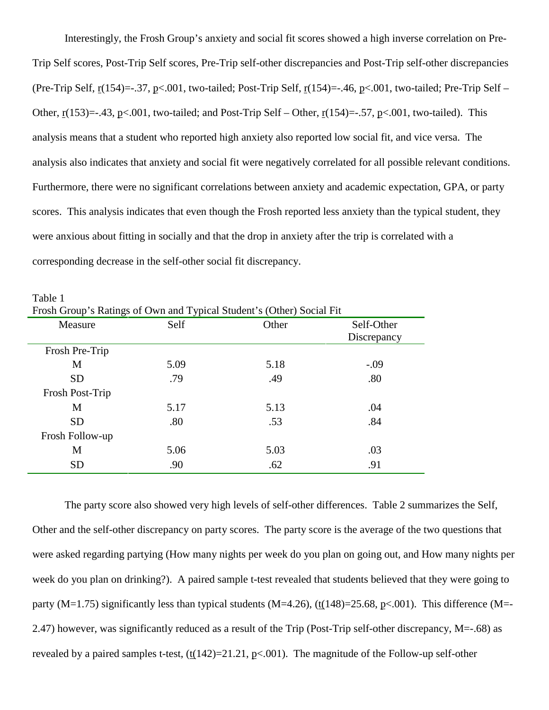Interestingly, the Frosh Group's anxiety and social fit scores showed a high inverse correlation on Pre-Trip Self scores, Post-Trip Self scores, Pre-Trip self-other discrepancies and Post-Trip self-other discrepancies (Pre-Trip Self,  $r(154) = .37$ ,  $p < .001$ , two-tailed; Post-Trip Self,  $r(154) = .46$ ,  $p < .001$ , two-tailed; Pre-Trip Self – Other,  $r(153) = -0.43$ ,  $p < 0.001$ , two-tailed; and Post-Trip Self – Other,  $r(154) = -0.57$ ,  $p < 0.001$ , two-tailed). This analysis means that a student who reported high anxiety also reported low social fit, and vice versa. The analysis also indicates that anxiety and social fit were negatively correlated for all possible relevant conditions. Furthermore, there were no significant correlations between anxiety and academic expectation, GPA, or party scores. This analysis indicates that even though the Frosh reported less anxiety than the typical student, they were anxious about fitting in socially and that the drop in anxiety after the trip is correlated with a corresponding decrease in the self-other social fit discrepancy.

| Frosh Group's Ratings of Own and Typical Student's (Other) Social Fit |      |       |             |
|-----------------------------------------------------------------------|------|-------|-------------|
| Measure                                                               | Self | Other | Self-Other  |
|                                                                       |      |       | Discrepancy |
| Frosh Pre-Trip                                                        |      |       |             |
| M                                                                     | 5.09 | 5.18  | $-.09$      |
| <b>SD</b>                                                             | .79  | .49   | .80         |
| Frosh Post-Trip                                                       |      |       |             |
| M                                                                     | 5.17 | 5.13  | .04         |
| <b>SD</b>                                                             | .80  | .53   | .84         |
| Frosh Follow-up                                                       |      |       |             |
| M                                                                     | 5.06 | 5.03  | .03         |
| <b>SD</b>                                                             | .90  | .62   | .91         |

Table 1

The party score also showed very high levels of self-other differences. Table 2 summarizes the Self, Other and the self-other discrepancy on party scores. The party score is the average of the two questions that were asked regarding partying (How many nights per week do you plan on going out, and How many nights per week do you plan on drinking?). A paired sample t-test revealed that students believed that they were going to party (M=1.75) significantly less than typical students (M=4.26), (t(148)=25.68, p<.001). This difference (M=-2.47) however, was significantly reduced as a result of the Trip (Post-Trip self-other discrepancy, M=-.68) as revealed by a paired samples t-test,  $(\frac{t(142)=21.21}{, p<.001})$ . The magnitude of the Follow-up self-other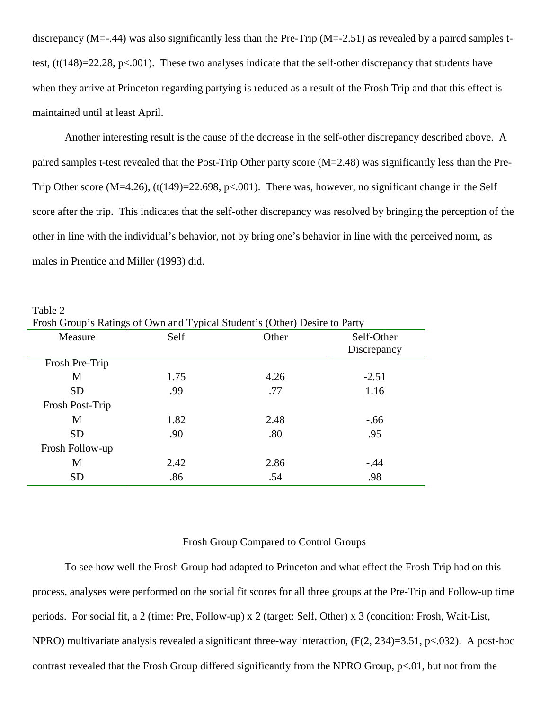discrepancy (M=-.44) was also significantly less than the Pre-Trip (M=-2.51) as revealed by a paired samples ttest,  $(t(148)=22.28, p<0.01)$ . These two analyses indicate that the self-other discrepancy that students have when they arrive at Princeton regarding partying is reduced as a result of the Frosh Trip and that this effect is maintained until at least April.

Another interesting result is the cause of the decrease in the self-other discrepancy described above. A paired samples t-test revealed that the Post-Trip Other party score (M=2.48) was significantly less than the Pre-Trip Other score (M=4.26), (t(149)=22.698, p<.001). There was, however, no significant change in the Self score after the trip. This indicates that the self-other discrepancy was resolved by bringing the perception of the other in line with the individual's behavior, not by bring one's behavior in line with the perceived norm, as males in Prentice and Miller (1993) did.

| Frosh Group's Ratings of Own and Typical Student's (Other) Desire to Party |      |       |             |  |  |  |
|----------------------------------------------------------------------------|------|-------|-------------|--|--|--|
| Measure                                                                    | Self | Other | Self-Other  |  |  |  |
|                                                                            |      |       | Discrepancy |  |  |  |
| Frosh Pre-Trip                                                             |      |       |             |  |  |  |
| M                                                                          | 1.75 | 4.26  | $-2.51$     |  |  |  |
| <b>SD</b>                                                                  | .99  | .77   | 1.16        |  |  |  |
| Frosh Post-Trip                                                            |      |       |             |  |  |  |
| M                                                                          | 1.82 | 2.48  | $-.66$      |  |  |  |
| <b>SD</b>                                                                  | .90  | .80   | .95         |  |  |  |
| Frosh Follow-up                                                            |      |       |             |  |  |  |
| М                                                                          | 2.42 | 2.86  | $-.44$      |  |  |  |
| <b>SD</b>                                                                  | .86  | .54   | .98         |  |  |  |

Table 2

#### Frosh Group Compared to Control Groups

To see how well the Frosh Group had adapted to Princeton and what effect the Frosh Trip had on this process, analyses were performed on the social fit scores for all three groups at the Pre-Trip and Follow-up time periods. For social fit, a 2 (time: Pre, Follow-up) x 2 (target: Self, Other) x 3 (condition: Frosh, Wait-List, NPRO) multivariate analysis revealed a significant three-way interaction, (F(2, 234)=3.51, p<.032). A post-hoc contrast revealed that the Frosh Group differed significantly from the NPRO Group,  $p<.01$ , but not from the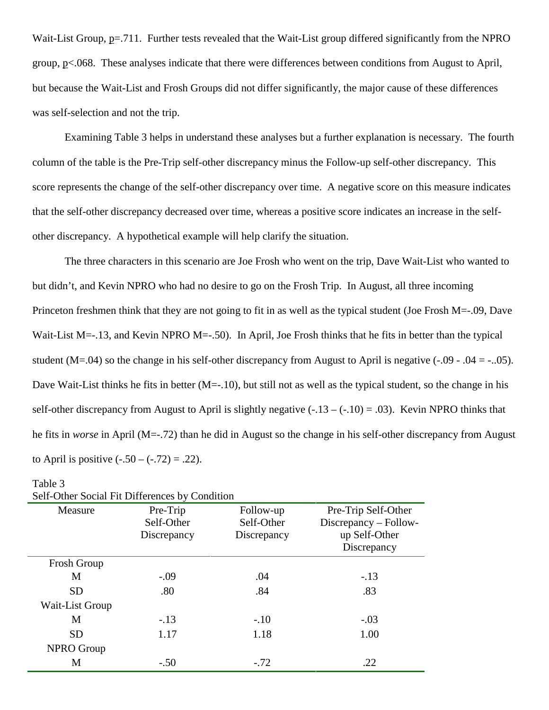Wait-List Group, p=.711. Further tests revealed that the Wait-List group differed significantly from the NPRO group, p<.068. These analyses indicate that there were differences between conditions from August to April, but because the Wait-List and Frosh Groups did not differ significantly, the major cause of these differences was self-selection and not the trip.

Examining Table 3 helps in understand these analyses but a further explanation is necessary. The fourth column of the table is the Pre-Trip self-other discrepancy minus the Follow-up self-other discrepancy. This score represents the change of the self-other discrepancy over time. A negative score on this measure indicates that the self-other discrepancy decreased over time, whereas a positive score indicates an increase in the selfother discrepancy. A hypothetical example will help clarify the situation.

The three characters in this scenario are Joe Frosh who went on the trip, Dave Wait-List who wanted to but didn't, and Kevin NPRO who had no desire to go on the Frosh Trip. In August, all three incoming Princeton freshmen think that they are not going to fit in as well as the typical student (Joe Frosh M=-.09, Dave Wait-List M=-.13, and Kevin NPRO M=-.50). In April, Joe Frosh thinks that he fits in better than the typical student (M=.04) so the change in his self-other discrepancy from August to April is negative  $(-.09 - .04 = -.05)$ . Dave Wait-List thinks he fits in better (M=-.10), but still not as well as the typical student, so the change in his self-other discrepancy from August to April is slightly negative  $(-.13 - (-.10) = .03)$ . Kevin NPRO thinks that he fits in *worse* in April (M=-.72) than he did in August so the change in his self-other discrepancy from August to April is positive  $(-.50 - (-.72) = .22)$ .

| Self-Other Social Fit Differences by Condition |                                       |                                        |                                                                              |  |  |  |  |
|------------------------------------------------|---------------------------------------|----------------------------------------|------------------------------------------------------------------------------|--|--|--|--|
| Measure                                        | Pre-Trip<br>Self-Other<br>Discrepancy | Follow-up<br>Self-Other<br>Discrepancy | Pre-Trip Self-Other<br>Discrepancy – Follow-<br>up Self-Other<br>Discrepancy |  |  |  |  |
| <b>Frosh Group</b>                             |                                       |                                        |                                                                              |  |  |  |  |
| M                                              | $-.09$                                | .04                                    | $-.13$                                                                       |  |  |  |  |
| <b>SD</b>                                      | .80                                   | .84                                    | .83                                                                          |  |  |  |  |
| Wait-List Group                                |                                       |                                        |                                                                              |  |  |  |  |
| M                                              | $-.13$                                | $-.10$                                 | $-.03$                                                                       |  |  |  |  |
| <b>SD</b>                                      | 1.17                                  | 1.18                                   | 1.00                                                                         |  |  |  |  |
| <b>NPRO Group</b>                              |                                       |                                        |                                                                              |  |  |  |  |
| M                                              | $-.50$                                | $-.72$                                 | .22                                                                          |  |  |  |  |

| abie |  |
|------|--|
|      |  |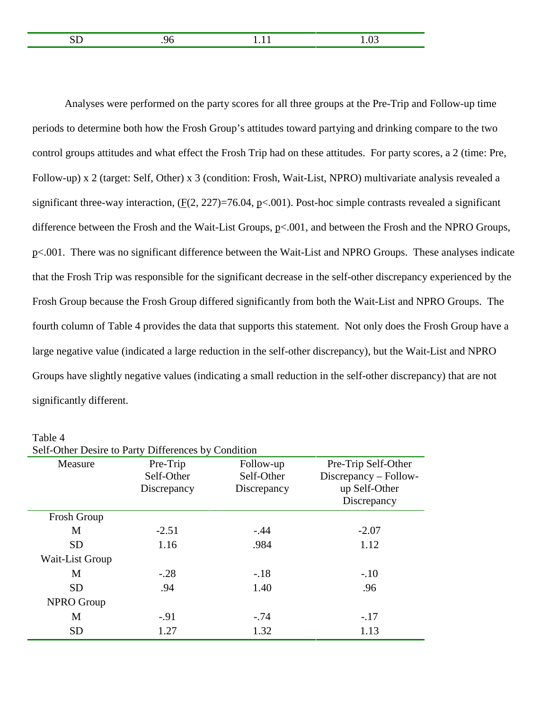|  | ____ |
|--|------|
|  |      |

Analyses were performed on the party scores for all three groups at the Pre-Trip and Follow-up time periods to determine both how the Frosh Group's attitudes toward partying and drinking compare to the two control groups attitudes and what effect the Frosh Trip had on these attitudes. For party scores, a 2 (time: Pre, Follow-up) x 2 (target: Self, Other) x 3 (condition: Frosh, Wait-List, NPRO) multivariate analysis revealed a significant three-way interaction,  $(F(2, 227)=76.04, p<.001)$ . Post-hoc simple contrasts revealed a significant difference between the Frosh and the Wait-List Groups, p<.001, and between the Frosh and the NPRO Groups, p<.001. There was no significant difference between the Wait-List and NPRO Groups. These analyses indicate that the Frosh Trip was responsible for the significant decrease in the self-other discrepancy experienced by the Frosh Group because the Frosh Group differed significantly from both the Wait-List and NPRO Groups. The fourth column of Table 4 provides the data that supports this statement. Not only does the Frosh Group have a large negative value (indicated a large reduction in the self-other discrepancy), but the Wait-List and NPRO Groups have slightly negative values (indicating a small reduction in the self-other discrepancy) that are not significantly different.

| Self-Other Desire to Party Differences by Condition |                                       |                                        |                                                                              |  |  |  |  |
|-----------------------------------------------------|---------------------------------------|----------------------------------------|------------------------------------------------------------------------------|--|--|--|--|
| Measure                                             | Pre-Trip<br>Self-Other<br>Discrepancy | Follow-up<br>Self-Other<br>Discrepancy | Pre-Trip Self-Other<br>Discrepancy – Follow-<br>up Self-Other<br>Discrepancy |  |  |  |  |
| Frosh Group                                         |                                       |                                        |                                                                              |  |  |  |  |
| M                                                   | $-2.51$                               | $-.44$                                 | $-2.07$                                                                      |  |  |  |  |
| <b>SD</b>                                           | 1.16                                  | .984                                   | 1.12                                                                         |  |  |  |  |
| Wait-List Group                                     |                                       |                                        |                                                                              |  |  |  |  |
| M                                                   | $-.28$                                | $-.18$                                 | $-.10$                                                                       |  |  |  |  |
| <b>SD</b>                                           | .94                                   | 1.40                                   | .96                                                                          |  |  |  |  |
| <b>NPRO Group</b>                                   |                                       |                                        |                                                                              |  |  |  |  |
| M                                                   | $-.91$                                | $-.74$                                 | $-.17$                                                                       |  |  |  |  |
| <b>SD</b>                                           | 1.27                                  | 1.32                                   | 1.13                                                                         |  |  |  |  |

Table 4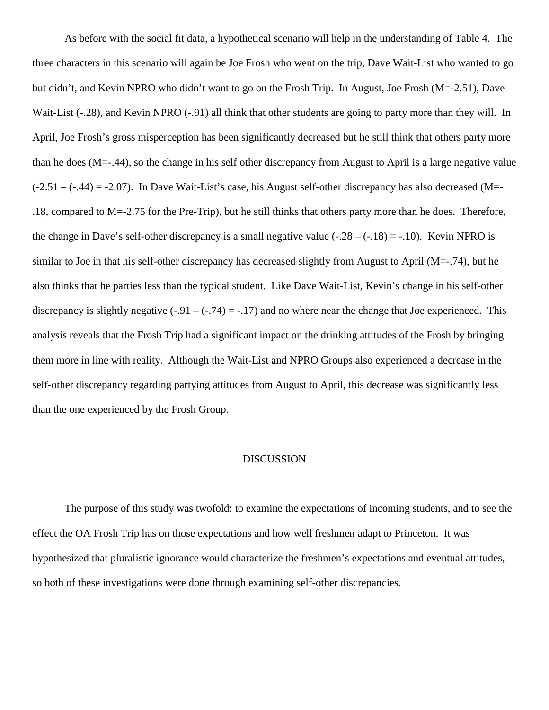As before with the social fit data, a hypothetical scenario will help in the understanding of Table 4. The three characters in this scenario will again be Joe Frosh who went on the trip, Dave Wait-List who wanted to go but didn't, and Kevin NPRO who didn't want to go on the Frosh Trip. In August, Joe Frosh (M=-2.51), Dave Wait-List (-.28), and Kevin NPRO (-.91) all think that other students are going to party more than they will. In April, Joe Frosh's gross misperception has been significantly decreased but he still think that others party more than he does (M=-.44), so the change in his self other discrepancy from August to April is a large negative value  $(-2.51 - (-0.44) = -2.07)$ . In Dave Wait-List's case, his August self-other discrepancy has also decreased (M=-.18, compared to M=-2.75 for the Pre-Trip), but he still thinks that others party more than he does. Therefore, the change in Dave's self-other discrepancy is a small negative value  $(-.28 - (-.18) = -.10)$ . Kevin NPRO is similar to Joe in that his self-other discrepancy has decreased slightly from August to April (M=-.74), but he also thinks that he parties less than the typical student. Like Dave Wait-List, Kevin's change in his self-other discrepancy is slightly negative  $(-.91 - (-.74) = -.17)$  and no where near the change that Joe experienced. This analysis reveals that the Frosh Trip had a significant impact on the drinking attitudes of the Frosh by bringing them more in line with reality. Although the Wait-List and NPRO Groups also experienced a decrease in the self-other discrepancy regarding partying attitudes from August to April, this decrease was significantly less than the one experienced by the Frosh Group.

#### DISCUSSION

The purpose of this study was twofold: to examine the expectations of incoming students, and to see the effect the OA Frosh Trip has on those expectations and how well freshmen adapt to Princeton. It was hypothesized that pluralistic ignorance would characterize the freshmen's expectations and eventual attitudes, so both of these investigations were done through examining self-other discrepancies.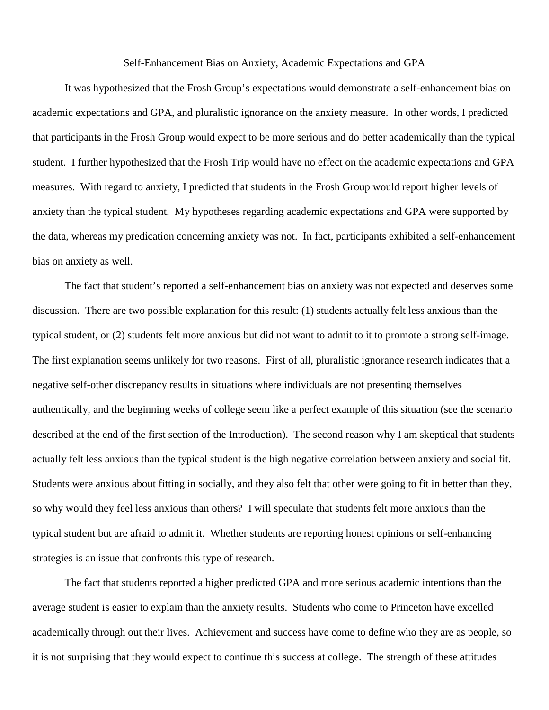#### Self-Enhancement Bias on Anxiety, Academic Expectations and GPA

It was hypothesized that the Frosh Group's expectations would demonstrate a self-enhancement bias on academic expectations and GPA, and pluralistic ignorance on the anxiety measure. In other words, I predicted that participants in the Frosh Group would expect to be more serious and do better academically than the typical student. I further hypothesized that the Frosh Trip would have no effect on the academic expectations and GPA measures. With regard to anxiety, I predicted that students in the Frosh Group would report higher levels of anxiety than the typical student. My hypotheses regarding academic expectations and GPA were supported by the data, whereas my predication concerning anxiety was not. In fact, participants exhibited a self-enhancement bias on anxiety as well.

The fact that student's reported a self-enhancement bias on anxiety was not expected and deserves some discussion. There are two possible explanation for this result: (1) students actually felt less anxious than the typical student, or (2) students felt more anxious but did not want to admit to it to promote a strong self-image. The first explanation seems unlikely for two reasons. First of all, pluralistic ignorance research indicates that a negative self-other discrepancy results in situations where individuals are not presenting themselves authentically, and the beginning weeks of college seem like a perfect example of this situation (see the scenario described at the end of the first section of the Introduction). The second reason why I am skeptical that students actually felt less anxious than the typical student is the high negative correlation between anxiety and social fit. Students were anxious about fitting in socially, and they also felt that other were going to fit in better than they, so why would they feel less anxious than others? I will speculate that students felt more anxious than the typical student but are afraid to admit it. Whether students are reporting honest opinions or self-enhancing strategies is an issue that confronts this type of research.

The fact that students reported a higher predicted GPA and more serious academic intentions than the average student is easier to explain than the anxiety results. Students who come to Princeton have excelled academically through out their lives. Achievement and success have come to define who they are as people, so it is not surprising that they would expect to continue this success at college. The strength of these attitudes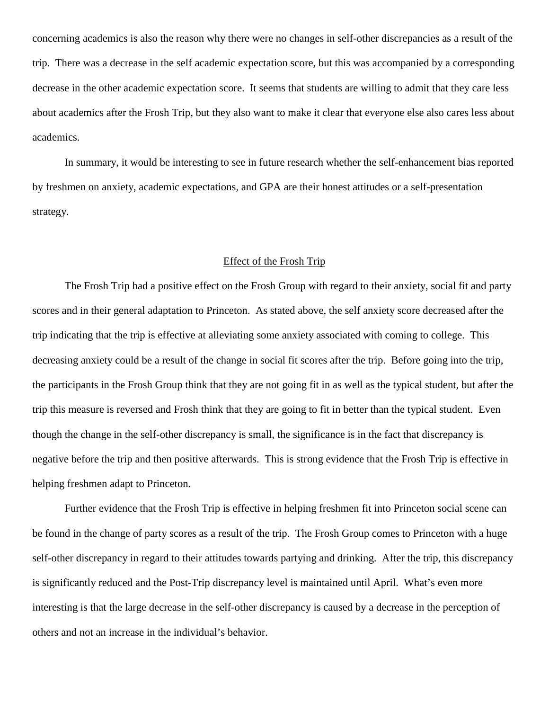concerning academics is also the reason why there were no changes in self-other discrepancies as a result of the trip. There was a decrease in the self academic expectation score, but this was accompanied by a corresponding decrease in the other academic expectation score. It seems that students are willing to admit that they care less about academics after the Frosh Trip, but they also want to make it clear that everyone else also cares less about academics.

In summary, it would be interesting to see in future research whether the self-enhancement bias reported by freshmen on anxiety, academic expectations, and GPA are their honest attitudes or a self-presentation strategy.

#### Effect of the Frosh Trip

The Frosh Trip had a positive effect on the Frosh Group with regard to their anxiety, social fit and party scores and in their general adaptation to Princeton. As stated above, the self anxiety score decreased after the trip indicating that the trip is effective at alleviating some anxiety associated with coming to college. This decreasing anxiety could be a result of the change in social fit scores after the trip. Before going into the trip, the participants in the Frosh Group think that they are not going fit in as well as the typical student, but after the trip this measure is reversed and Frosh think that they are going to fit in better than the typical student. Even though the change in the self-other discrepancy is small, the significance is in the fact that discrepancy is negative before the trip and then positive afterwards. This is strong evidence that the Frosh Trip is effective in helping freshmen adapt to Princeton.

Further evidence that the Frosh Trip is effective in helping freshmen fit into Princeton social scene can be found in the change of party scores as a result of the trip. The Frosh Group comes to Princeton with a huge self-other discrepancy in regard to their attitudes towards partying and drinking. After the trip, this discrepancy is significantly reduced and the Post-Trip discrepancy level is maintained until April. What's even more interesting is that the large decrease in the self-other discrepancy is caused by a decrease in the perception of others and not an increase in the individual's behavior.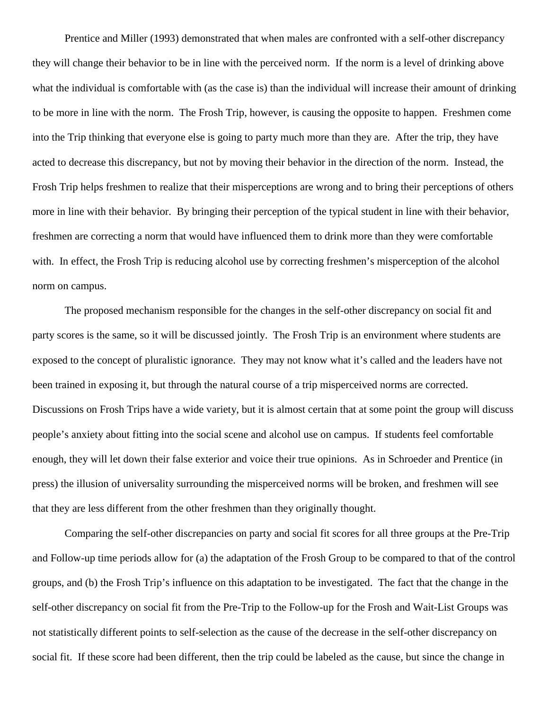Prentice and Miller (1993) demonstrated that when males are confronted with a self-other discrepancy they will change their behavior to be in line with the perceived norm. If the norm is a level of drinking above what the individual is comfortable with (as the case is) than the individual will increase their amount of drinking to be more in line with the norm. The Frosh Trip, however, is causing the opposite to happen. Freshmen come into the Trip thinking that everyone else is going to party much more than they are. After the trip, they have acted to decrease this discrepancy, but not by moving their behavior in the direction of the norm. Instead, the Frosh Trip helps freshmen to realize that their misperceptions are wrong and to bring their perceptions of others more in line with their behavior. By bringing their perception of the typical student in line with their behavior, freshmen are correcting a norm that would have influenced them to drink more than they were comfortable with. In effect, the Frosh Trip is reducing alcohol use by correcting freshmen's misperception of the alcohol norm on campus.

The proposed mechanism responsible for the changes in the self-other discrepancy on social fit and party scores is the same, so it will be discussed jointly. The Frosh Trip is an environment where students are exposed to the concept of pluralistic ignorance. They may not know what it's called and the leaders have not been trained in exposing it, but through the natural course of a trip misperceived norms are corrected. Discussions on Frosh Trips have a wide variety, but it is almost certain that at some point the group will discuss people's anxiety about fitting into the social scene and alcohol use on campus. If students feel comfortable enough, they will let down their false exterior and voice their true opinions. As in Schroeder and Prentice (in press) the illusion of universality surrounding the misperceived norms will be broken, and freshmen will see that they are less different from the other freshmen than they originally thought.

Comparing the self-other discrepancies on party and social fit scores for all three groups at the Pre-Trip and Follow-up time periods allow for (a) the adaptation of the Frosh Group to be compared to that of the control groups, and (b) the Frosh Trip's influence on this adaptation to be investigated. The fact that the change in the self-other discrepancy on social fit from the Pre-Trip to the Follow-up for the Frosh and Wait-List Groups was not statistically different points to self-selection as the cause of the decrease in the self-other discrepancy on social fit. If these score had been different, then the trip could be labeled as the cause, but since the change in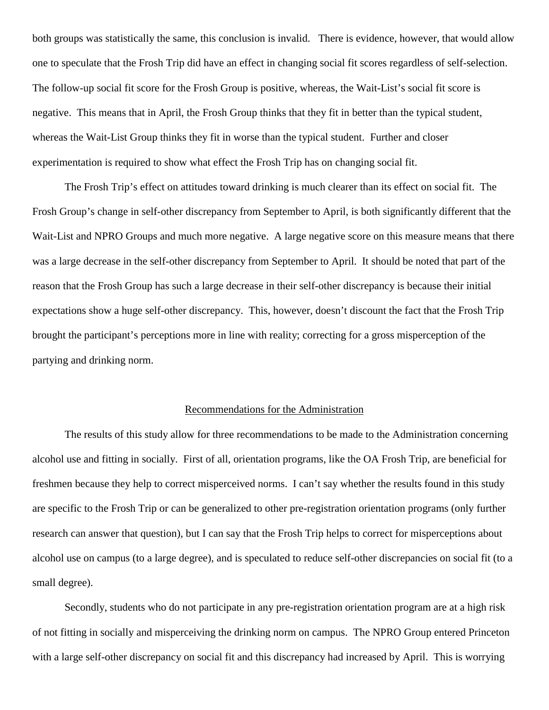both groups was statistically the same, this conclusion is invalid. There is evidence, however, that would allow one to speculate that the Frosh Trip did have an effect in changing social fit scores regardless of self-selection. The follow-up social fit score for the Frosh Group is positive, whereas, the Wait-List's social fit score is negative. This means that in April, the Frosh Group thinks that they fit in better than the typical student, whereas the Wait-List Group thinks they fit in worse than the typical student. Further and closer experimentation is required to show what effect the Frosh Trip has on changing social fit.

The Frosh Trip's effect on attitudes toward drinking is much clearer than its effect on social fit. The Frosh Group's change in self-other discrepancy from September to April, is both significantly different that the Wait-List and NPRO Groups and much more negative. A large negative score on this measure means that there was a large decrease in the self-other discrepancy from September to April. It should be noted that part of the reason that the Frosh Group has such a large decrease in their self-other discrepancy is because their initial expectations show a huge self-other discrepancy. This, however, doesn't discount the fact that the Frosh Trip brought the participant's perceptions more in line with reality; correcting for a gross misperception of the partying and drinking norm.

#### Recommendations for the Administration

The results of this study allow for three recommendations to be made to the Administration concerning alcohol use and fitting in socially. First of all, orientation programs, like the OA Frosh Trip, are beneficial for freshmen because they help to correct misperceived norms. I can't say whether the results found in this study are specific to the Frosh Trip or can be generalized to other pre-registration orientation programs (only further research can answer that question), but I can say that the Frosh Trip helps to correct for misperceptions about alcohol use on campus (to a large degree), and is speculated to reduce self-other discrepancies on social fit (to a small degree).

Secondly, students who do not participate in any pre-registration orientation program are at a high risk of not fitting in socially and misperceiving the drinking norm on campus. The NPRO Group entered Princeton with a large self-other discrepancy on social fit and this discrepancy had increased by April. This is worrying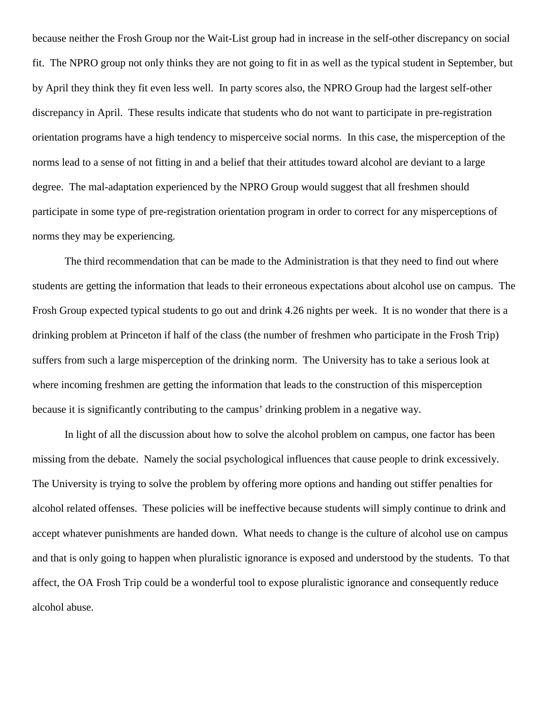because neither the Frosh Group nor the Wait-List group had in increase in the self-other discrepancy on social fit. The NPRO group not only thinks they are not going to fit in as well as the typical student in September, but by April they think they fit even less well. In party scores also, the NPRO Group had the largest self-other discrepancy in April. These results indicate that students who do not want to participate in pre-registration orientation programs have a high tendency to misperceive social norms. In this case, the misperception of the norms lead to a sense of not fitting in and a belief that their attitudes toward alcohol are deviant to a large degree. The mal-adaptation experienced by the NPRO Group would suggest that all freshmen should participate in some type of pre-registration orientation program in order to correct for any misperceptions of norms they may be experiencing.

The third recommendation that can be made to the Administration is that they need to find out where students are getting the information that leads to their erroneous expectations about alcohol use on campus. The Frosh Group expected typical students to go out and drink 4.26 nights per week. It is no wonder that there is a drinking problem at Princeton if half of the class (the number of freshmen who participate in the Frosh Trip) suffers from such a large misperception of the drinking norm. The University has to take a serious look at where incoming freshmen are getting the information that leads to the construction of this misperception because it is significantly contributing to the campus' drinking problem in a negative way.

In light of all the discussion about how to solve the alcohol problem on campus, one factor has been missing from the debate. Namely the social psychological influences that cause people to drink excessively. The University is trying to solve the problem by offering more options and handing out stiffer penalties for alcohol related offenses. These policies will be ineffective because students will simply continue to drink and accept whatever punishments are handed down. What needs to change is the culture of alcohol use on campus and that is only going to happen when pluralistic ignorance is exposed and understood by the students. To that affect, the OA Frosh Trip could be a wonderful tool to expose pluralistic ignorance and consequently reduce alcohol abuse.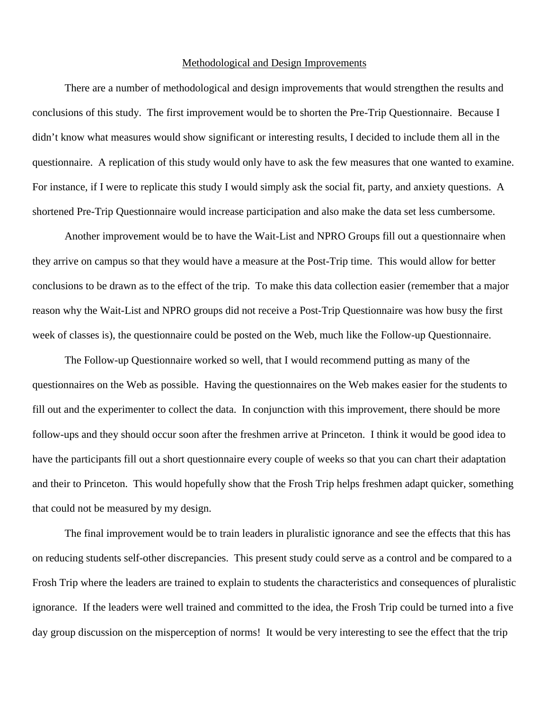#### Methodological and Design Improvements

There are a number of methodological and design improvements that would strengthen the results and conclusions of this study. The first improvement would be to shorten the Pre-Trip Questionnaire. Because I didn't know what measures would show significant or interesting results, I decided to include them all in the questionnaire. A replication of this study would only have to ask the few measures that one wanted to examine. For instance, if I were to replicate this study I would simply ask the social fit, party, and anxiety questions. A shortened Pre-Trip Questionnaire would increase participation and also make the data set less cumbersome.

Another improvement would be to have the Wait-List and NPRO Groups fill out a questionnaire when they arrive on campus so that they would have a measure at the Post-Trip time. This would allow for better conclusions to be drawn as to the effect of the trip. To make this data collection easier (remember that a major reason why the Wait-List and NPRO groups did not receive a Post-Trip Questionnaire was how busy the first week of classes is), the questionnaire could be posted on the Web, much like the Follow-up Questionnaire.

The Follow-up Questionnaire worked so well, that I would recommend putting as many of the questionnaires on the Web as possible. Having the questionnaires on the Web makes easier for the students to fill out and the experimenter to collect the data. In conjunction with this improvement, there should be more follow-ups and they should occur soon after the freshmen arrive at Princeton. I think it would be good idea to have the participants fill out a short questionnaire every couple of weeks so that you can chart their adaptation and their to Princeton. This would hopefully show that the Frosh Trip helps freshmen adapt quicker, something that could not be measured by my design.

The final improvement would be to train leaders in pluralistic ignorance and see the effects that this has on reducing students self-other discrepancies. This present study could serve as a control and be compared to a Frosh Trip where the leaders are trained to explain to students the characteristics and consequences of pluralistic ignorance. If the leaders were well trained and committed to the idea, the Frosh Trip could be turned into a five day group discussion on the misperception of norms! It would be very interesting to see the effect that the trip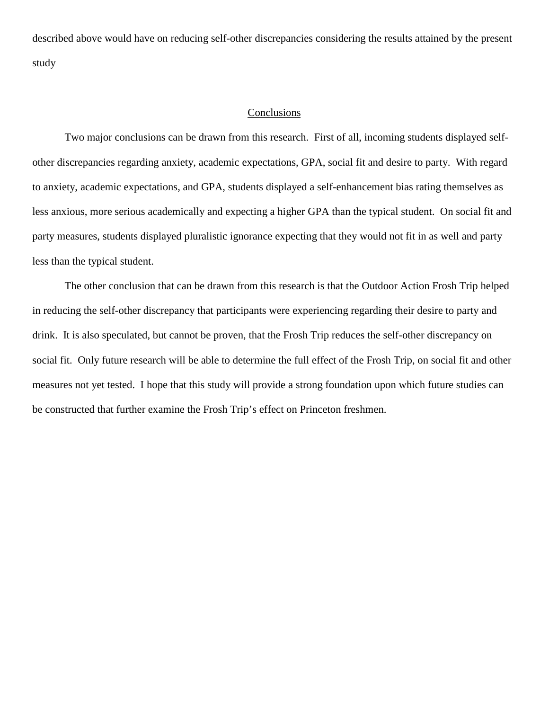described above would have on reducing self-other discrepancies considering the results attained by the present study

#### Conclusions

Two major conclusions can be drawn from this research. First of all, incoming students displayed selfother discrepancies regarding anxiety, academic expectations, GPA, social fit and desire to party. With regard to anxiety, academic expectations, and GPA, students displayed a self-enhancement bias rating themselves as less anxious, more serious academically and expecting a higher GPA than the typical student. On social fit and party measures, students displayed pluralistic ignorance expecting that they would not fit in as well and party less than the typical student.

The other conclusion that can be drawn from this research is that the Outdoor Action Frosh Trip helped in reducing the self-other discrepancy that participants were experiencing regarding their desire to party and drink. It is also speculated, but cannot be proven, that the Frosh Trip reduces the self-other discrepancy on social fit. Only future research will be able to determine the full effect of the Frosh Trip, on social fit and other measures not yet tested. I hope that this study will provide a strong foundation upon which future studies can be constructed that further examine the Frosh Trip's effect on Princeton freshmen.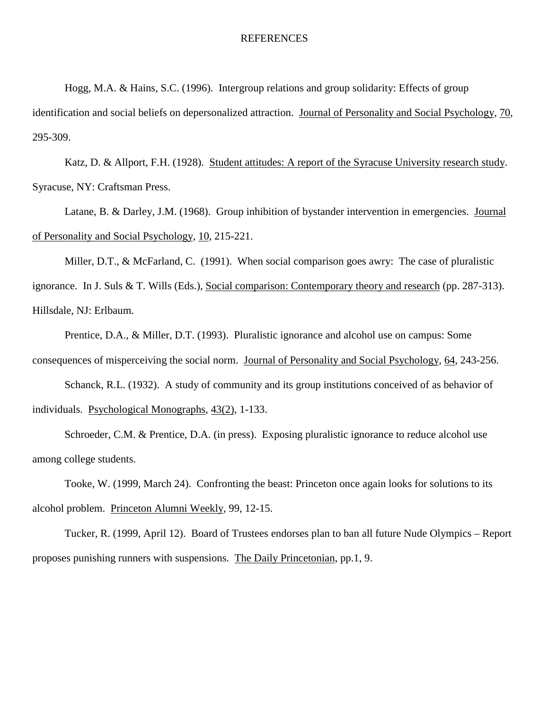#### **REFERENCES**

Hogg, M.A. & Hains, S.C. (1996). Intergroup relations and group solidarity: Effects of group

identification and social beliefs on depersonalized attraction. Journal of Personality and Social Psychology, 70, 295-309.

Katz, D. & Allport, F.H. (1928). Student attitudes: A report of the Syracuse University research study. Syracuse, NY: Craftsman Press.

Latane, B. & Darley, J.M. (1968). Group inhibition of bystander intervention in emergencies. Journal of Personality and Social Psychology, 10, 215-221.

Miller, D.T., & McFarland, C. (1991). When social comparison goes awry: The case of pluralistic ignorance. In J. Suls & T. Wills (Eds.), Social comparison: Contemporary theory and research (pp. 287-313). Hillsdale, NJ: Erlbaum.

Prentice, D.A., & Miller, D.T. (1993). Pluralistic ignorance and alcohol use on campus: Some consequences of misperceiving the social norm. Journal of Personality and Social Psychology, 64, 243-256.

Schanck, R.L. (1932). A study of community and its group institutions conceived of as behavior of individuals. Psychological Monographs, 43(2), 1-133.

Schroeder, C.M. & Prentice, D.A. (in press). Exposing pluralistic ignorance to reduce alcohol use among college students.

Tooke, W. (1999, March 24). Confronting the beast: Princeton once again looks for solutions to its alcohol problem. Princeton Alumni Weekly, 99, 12-15.

Tucker, R. (1999, April 12). Board of Trustees endorses plan to ban all future Nude Olympics – Report proposes punishing runners with suspensions. The Daily Princetonian, pp.1, 9.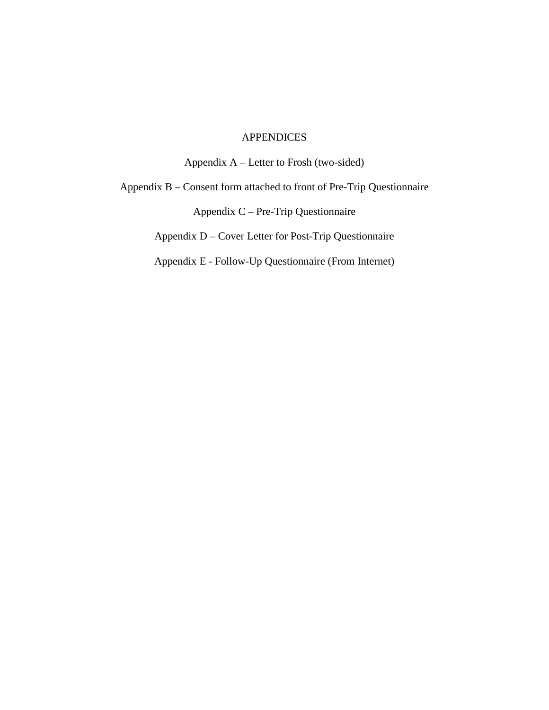# APPENDICES

Appendix A – Letter to Frosh (two-sided)

Appendix B – Consent form attached to front of Pre-Trip Questionnaire

Appendix C – Pre-Trip Questionnaire

Appendix D – Cover Letter for Post-Trip Questionnaire

Appendix E - Follow-Up Questionnaire (From Internet)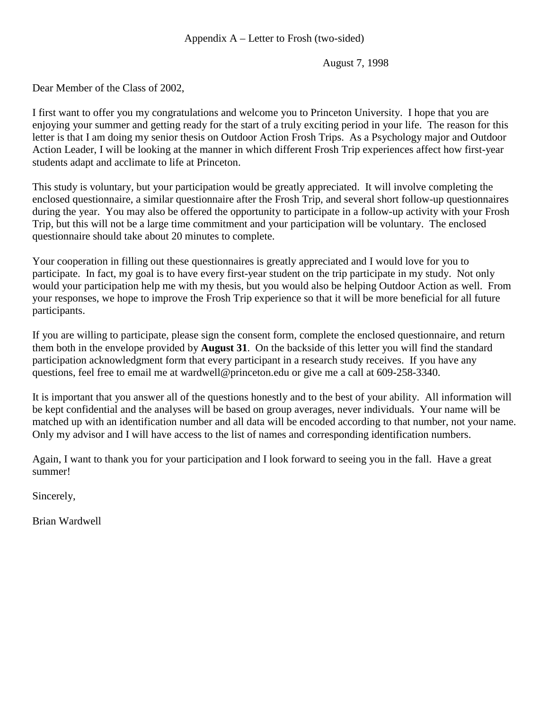# Appendix A – Letter to Frosh (two-sided)

August 7, 1998

Dear Member of the Class of 2002,

I first want to offer you my congratulations and welcome you to Princeton University. I hope that you are enjoying your summer and getting ready for the start of a truly exciting period in your life. The reason for this letter is that I am doing my senior thesis on Outdoor Action Frosh Trips. As a Psychology major and Outdoor Action Leader, I will be looking at the manner in which different Frosh Trip experiences affect how first-year students adapt and acclimate to life at Princeton.

This study is voluntary, but your participation would be greatly appreciated. It will involve completing the enclosed questionnaire, a similar questionnaire after the Frosh Trip, and several short follow-up questionnaires during the year. You may also be offered the opportunity to participate in a follow-up activity with your Frosh Trip, but this will not be a large time commitment and your participation will be voluntary. The enclosed questionnaire should take about 20 minutes to complete.

Your cooperation in filling out these questionnaires is greatly appreciated and I would love for you to participate. In fact, my goal is to have every first-year student on the trip participate in my study. Not only would your participation help me with my thesis, but you would also be helping Outdoor Action as well. From your responses, we hope to improve the Frosh Trip experience so that it will be more beneficial for all future participants.

If you are willing to participate, please sign the consent form, complete the enclosed questionnaire, and return them both in the envelope provided by **August 31**. On the backside of this letter you will find the standard participation acknowledgment form that every participant in a research study receives. If you have any questions, feel free to email me at wardwell@princeton.edu or give me a call at 609-258-3340.

It is important that you answer all of the questions honestly and to the best of your ability. All information will be kept confidential and the analyses will be based on group averages, never individuals. Your name will be matched up with an identification number and all data will be encoded according to that number, not your name. Only my advisor and I will have access to the list of names and corresponding identification numbers.

Again, I want to thank you for your participation and I look forward to seeing you in the fall. Have a great summer!

Sincerely,

Brian Wardwell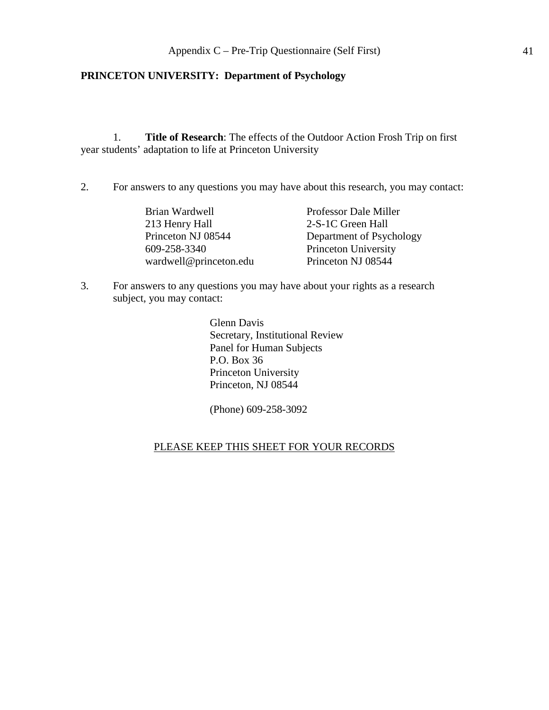# **PRINCETON UNIVERSITY: Department of Psychology**

1. **Title of Research**: The effects of the Outdoor Action Frosh Trip on first year students' adaptation to life at Princeton University

2. For answers to any questions you may have about this research, you may contact:

| Brian Wardwell         | Professor Dale Miller    |
|------------------------|--------------------------|
| 213 Henry Hall         | 2-S-1C Green Hall        |
| Princeton NJ 08544     | Department of Psychology |
| 609-258-3340           | Princeton University     |
| wardwell@princeton.edu | Princeton NJ 08544       |

3. For answers to any questions you may have about your rights as a research subject, you may contact:

> Glenn Davis Secretary, Institutional Review Panel for Human Subjects P.O. Box 36 Princeton University Princeton, NJ 08544

(Phone) 609-258-3092

# PLEASE KEEP THIS SHEET FOR YOUR RECORDS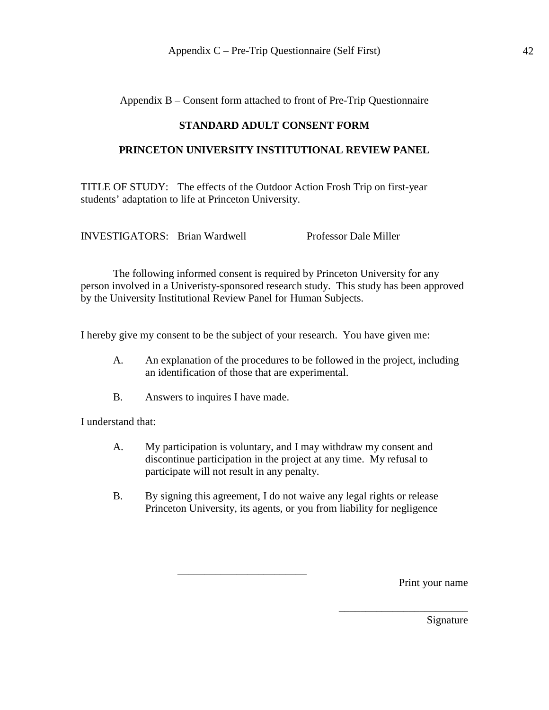Appendix B – Consent form attached to front of Pre-Trip Questionnaire

# **STANDARD ADULT CONSENT FORM**

# **PRINCETON UNIVERSITY INSTITUTIONAL REVIEW PANEL**

TITLE OF STUDY: The effects of the Outdoor Action Frosh Trip on first-year students' adaptation to life at Princeton University.

INVESTIGATORS: Brian Wardwell Professor Dale Miller

The following informed consent is required by Princeton University for any person involved in a Univeristy-sponsored research study. This study has been approved by the University Institutional Review Panel for Human Subjects.

I hereby give my consent to be the subject of your research. You have given me:

- A. An explanation of the procedures to be followed in the project, including an identification of those that are experimental.
- B. Answers to inquires I have made.

I understand that:

- A. My participation is voluntary, and I may withdraw my consent and discontinue participation in the project at any time. My refusal to participate will not result in any penalty.
- B. By signing this agreement, I do not waive any legal rights or release Princeton University, its agents, or you from liability for negligence

\_\_\_\_\_\_\_\_\_\_\_\_\_\_\_\_\_\_\_\_\_\_\_\_

Print your name

Signature

\_\_\_\_\_\_\_\_\_\_\_\_\_\_\_\_\_\_\_\_\_\_\_\_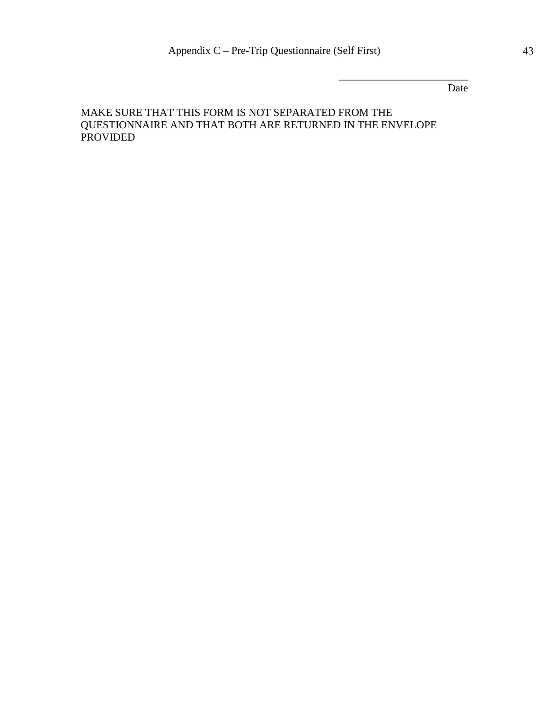Date

\_\_\_\_\_\_\_\_\_\_\_\_\_\_\_\_\_\_\_\_\_\_\_\_

# MAKE SURE THAT THIS FORM IS NOT SEPARATED FROM THE QUESTIONNAIRE AND THAT BOTH ARE RETURNED IN THE ENVELOPE PROVIDED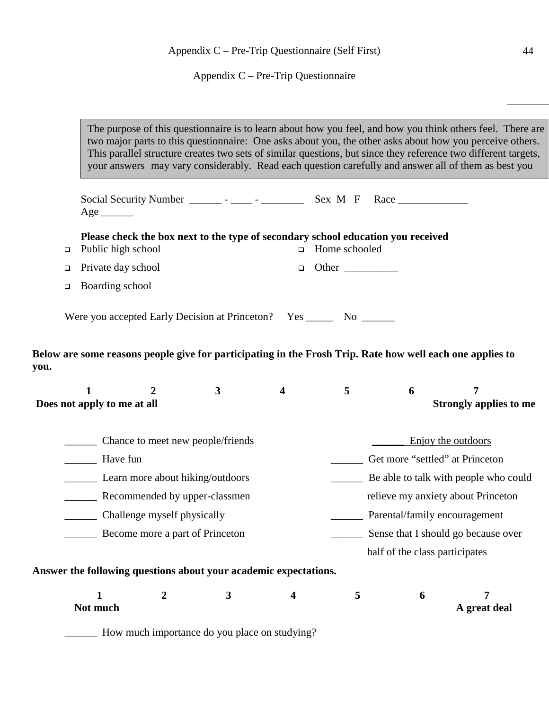Appendix C – Pre-Trip Questionnaire

The purpose of this questionnaire is to learn about how you feel, and how you think others feel. There are two major parts to this questionnaire: One asks about you, the other asks about how you perceive others. This parallel structure creates two sets of similar questions, but since they reference two different targets, your answers may vary considerably. Read each question carefully and answer all of them as best you

|        | $Age$ <sub>________</sub>                   |                  |                                                                                  |                         |                               |                                 |                                                                                                           |  |
|--------|---------------------------------------------|------------------|----------------------------------------------------------------------------------|-------------------------|-------------------------------|---------------------------------|-----------------------------------------------------------------------------------------------------------|--|
| $\Box$ | Public high school                          |                  | Please check the box next to the type of secondary school education you received | $\Box$                  | Home schooled                 |                                 |                                                                                                           |  |
| $\Box$ | Private day school                          |                  |                                                                                  | $\Box$                  | Other $\_\_$                  |                                 |                                                                                                           |  |
| $\Box$ | Boarding school                             |                  |                                                                                  |                         |                               |                                 |                                                                                                           |  |
|        |                                             |                  | Were you accepted Early Decision at Princeton? Yes ________ No _______           |                         |                               |                                 |                                                                                                           |  |
| you.   |                                             |                  |                                                                                  |                         |                               |                                 | Below are some reasons people give for participating in the Frosh Trip. Rate how well each one applies to |  |
|        | $\mathbf{1}$<br>Does not apply to me at all | $\boldsymbol{2}$ | $\mathbf{3}$                                                                     | $\overline{\mathbf{4}}$ | 5                             | 6                               | 7<br><b>Strongly applies to me</b>                                                                        |  |
|        |                                             |                  | Chance to meet new people/friends                                                |                         |                               |                                 | Enjoy the outdoors                                                                                        |  |
|        | Have fun                                    |                  |                                                                                  |                         |                               | Get more "settled" at Princeton |                                                                                                           |  |
|        | Learn more about hiking/outdoors            |                  |                                                                                  |                         |                               |                                 | Be able to talk with people who could                                                                     |  |
|        | Recommended by upper-classmen               |                  |                                                                                  |                         |                               |                                 | relieve my anxiety about Princeton                                                                        |  |
|        | Challenge myself physically                 |                  |                                                                                  |                         | Parental/family encouragement |                                 |                                                                                                           |  |
|        | Become more a part of Princeton             |                  |                                                                                  |                         |                               |                                 | Sense that I should go because over                                                                       |  |
|        |                                             |                  |                                                                                  |                         |                               | half of the class participates  |                                                                                                           |  |
|        |                                             |                  | Answer the following questions about your academic expectations.                 |                         |                               |                                 |                                                                                                           |  |
|        | $\mathbf{1}$<br>Not much                    | $\overline{2}$   | $\mathbf{3}$                                                                     | $\overline{\mathbf{4}}$ | 5                             | 6                               | 7<br>A great deal                                                                                         |  |
|        |                                             |                  | How much importance do you place on studying?                                    |                         |                               |                                 |                                                                                                           |  |

**you.**

 $\overline{\phantom{a}}$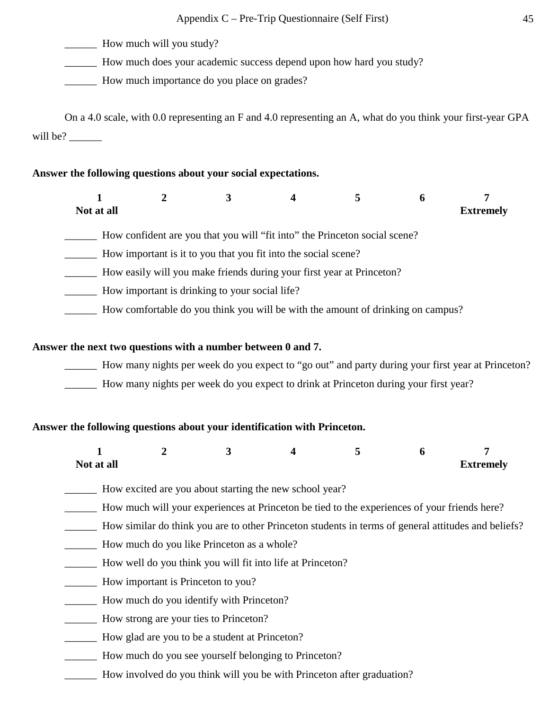\_\_\_\_\_\_ How much will you study?

\_\_\_\_\_\_ How much does your academic success depend upon how hard you study?

\_\_\_\_\_\_ How much importance do you place on grades?

On a 4.0 scale, with 0.0 representing an F and 4.0 representing an A, what do you think your first-year GPA will be?

# **Answer the following questions about your social expectations.**

| Not at all |  |                                                                            |  | <b>Extremely</b> |
|------------|--|----------------------------------------------------------------------------|--|------------------|
|            |  | How confident are you that you will "fit into" the Princeton social scene? |  |                  |

\_\_\_\_\_\_ How important is it to you that you fit into the social scene?

\_\_\_\_\_\_ How easily will you make friends during your first year at Princeton?

- \_\_\_\_\_\_ How important is drinking to your social life?
- \_\_\_\_\_\_ How comfortable do you think you will be with the amount of drinking on campus?

# **Answer the next two questions with a number between 0 and 7.**

- \_\_\_\_\_\_ How many nights per week do you expect to "go out" and party during your first year at Princeton?
- \_\_\_\_\_\_ How many nights per week do you expect to drink at Princeton during your first year?

# **Answer the following questions about your identification with Princeton.**

| Not at all |  |  | <b>Extremely</b> |
|------------|--|--|------------------|

- How excited are you about starting the new school year?
- \_\_\_\_\_\_ How much will your experiences at Princeton be tied to the experiences of your friends here?
- \_\_\_\_\_\_ How similar do think you are to other Princeton students in terms of general attitudes and beliefs?
- \_\_\_\_\_\_ How much do you like Princeton as a whole?
- \_\_\_\_\_\_ How well do you think you will fit into life at Princeton?
- \_\_\_\_\_\_ How important is Princeton to you?
- \_\_\_\_\_\_ How much do you identify with Princeton?
- \_\_\_\_\_\_ How strong are your ties to Princeton?
- \_\_\_\_\_\_ How glad are you to be a student at Princeton?
- \_\_\_\_\_\_ How much do you see yourself belonging to Princeton?
- \_\_\_\_\_\_ How involved do you think will you be with Princeton after graduation?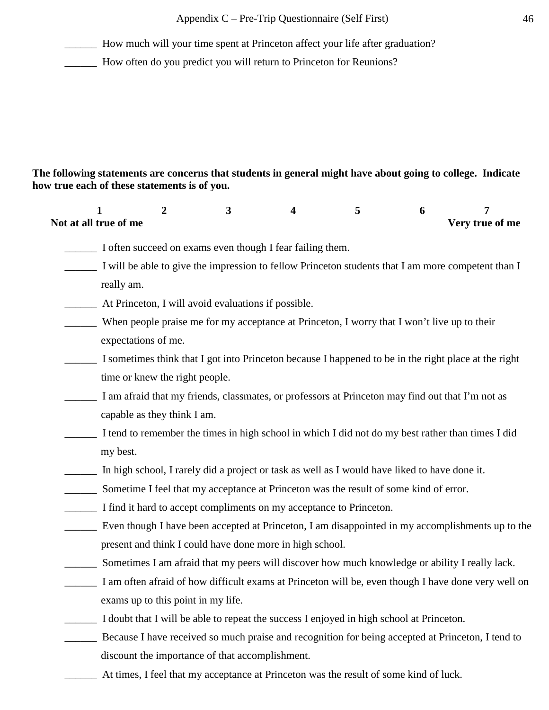\_\_\_\_\_\_ How much will your time spent at Princeton affect your life after graduation?

\_\_\_\_\_\_ How often do you predict you will return to Princeton for Reunions?

# **The following statements are concerns that students in general might have about going to college. Indicate how true each of these statements is of you.**

| 1<br>Not at all true of me     | 2 | 3                                                                                                | 4 | 5 | 6 | 7<br>Very true of me                                                                                 |
|--------------------------------|---|--------------------------------------------------------------------------------------------------|---|---|---|------------------------------------------------------------------------------------------------------|
|                                |   | I often succeed on exams even though I fear failing them.                                        |   |   |   |                                                                                                      |
|                                |   |                                                                                                  |   |   |   | I will be able to give the impression to fellow Princeton students that I am more competent than I   |
| really am.                     |   |                                                                                                  |   |   |   |                                                                                                      |
|                                |   | At Princeton, I will avoid evaluations if possible.                                              |   |   |   |                                                                                                      |
| expectations of me.            |   | When people praise me for my acceptance at Princeton, I worry that I won't live up to their      |   |   |   |                                                                                                      |
|                                |   |                                                                                                  |   |   |   | I sometimes think that I got into Princeton because I happened to be in the right place at the right |
| time or knew the right people. |   |                                                                                                  |   |   |   |                                                                                                      |
| capable as they think I am.    |   | I am afraid that my friends, classmates, or professors at Princeton may find out that I'm not as |   |   |   |                                                                                                      |
| my best.                       |   |                                                                                                  |   |   |   | I tend to remember the times in high school in which I did not do my best rather than times I did    |
|                                |   | In high school, I rarely did a project or task as well as I would have liked to have done it.    |   |   |   |                                                                                                      |
|                                |   | Sometime I feel that my acceptance at Princeton was the result of some kind of error.            |   |   |   |                                                                                                      |
|                                |   | I find it hard to accept compliments on my acceptance to Princeton.                              |   |   |   |                                                                                                      |
|                                |   |                                                                                                  |   |   |   | Even though I have been accepted at Princeton, I am disappointed in my accomplishments up to the     |
|                                |   | present and think I could have done more in high school.                                         |   |   |   |                                                                                                      |
|                                |   |                                                                                                  |   |   |   | Sometimes I am afraid that my peers will discover how much knowledge or ability I really lack.       |
|                                |   |                                                                                                  |   |   |   | I am often afraid of how difficult exams at Princeton will be, even though I have done very well on  |
|                                |   | exams up to this point in my life.                                                               |   |   |   |                                                                                                      |
|                                |   | I doubt that I will be able to repeat the success I enjoyed in high school at Princeton.         |   |   |   |                                                                                                      |
|                                |   |                                                                                                  |   |   |   | Because I have received so much praise and recognition for being accepted at Princeton, I tend to    |
|                                |   | discount the importance of that accomplishment.                                                  |   |   |   |                                                                                                      |
|                                |   | At times, I feel that my acceptance at Princeton was the result of some kind of luck.            |   |   |   |                                                                                                      |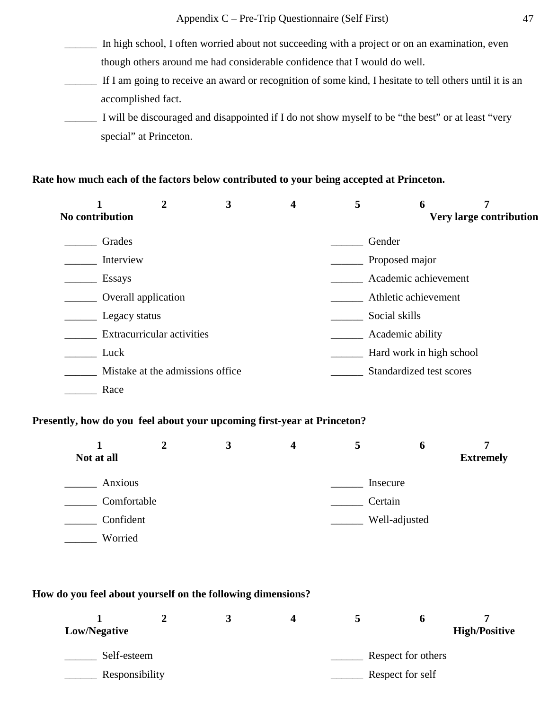\_\_\_\_\_\_ In high school, I often worried about not succeeding with a project or on an examination, even though others around me had considerable confidence that I would do well.

- \_\_\_\_\_\_ If I am going to receive an award or recognition of some kind, I hesitate to tell others until it is an accomplished fact.
- \_\_\_\_\_\_ I will be discouraged and disappointed if I do not show myself to be "the best" or at least "very special" at Princeton.

### **Rate how much each of the factors below contributed to your being accepted at Princeton.**

|                 | $\overline{2}$                    | 3 | $\overline{\mathbf{4}}$ | 5      | 6                        | 7                              |
|-----------------|-----------------------------------|---|-------------------------|--------|--------------------------|--------------------------------|
| No contribution |                                   |   |                         |        |                          | <b>Very large contribution</b> |
| Grades          |                                   |   |                         | Gender |                          |                                |
| Interview       |                                   |   |                         |        | Proposed major           |                                |
| <b>Essays</b>   |                                   |   |                         |        | Academic achievement     |                                |
|                 | Overall application               |   |                         |        | Athletic achievement     |                                |
| Legacy status   |                                   |   |                         |        | Social skills            |                                |
|                 | Extracurricular activities        |   |                         |        | Academic ability         |                                |
| Luck            |                                   |   |                         |        | Hard work in high school |                                |
|                 | Mistake at the admissions office. |   |                         |        | Standardized test scores |                                |
| Race            |                                   |   |                         |        |                          |                                |

## **Presently, how do you feel about your upcoming first-year at Princeton?**

|             | 3 | 4 | 5       | O             |                  |
|-------------|---|---|---------|---------------|------------------|
| Not at all  |   |   |         |               | <b>Extremely</b> |
| Anxious     |   |   |         | Insecure      |                  |
| Comfortable |   |   | Certain |               |                  |
| Confident   |   |   |         | Well-adjusted |                  |
| Worried     |   |   |         |               |                  |

#### **How do you feel about yourself on the following dimensions?**

| Low/Negative   |  |  |                  |                    | <b>High/Positive</b> |  |
|----------------|--|--|------------------|--------------------|----------------------|--|
| Self-esteem    |  |  |                  | Respect for others |                      |  |
| Responsibility |  |  | Respect for self |                    |                      |  |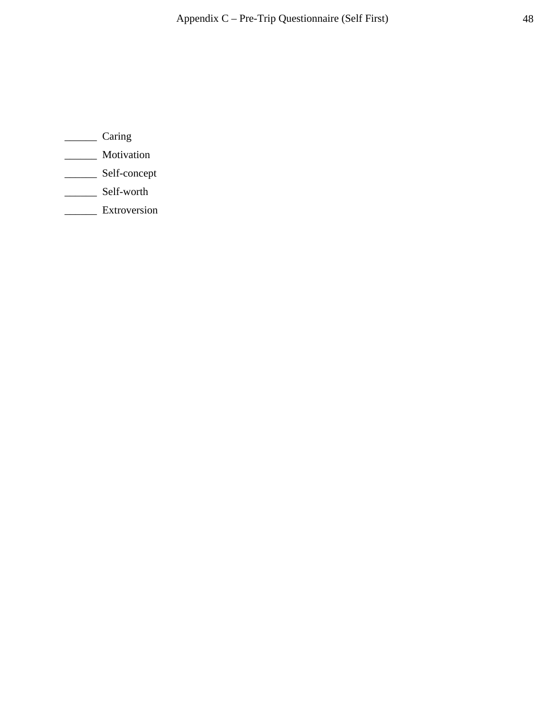- \_\_\_\_\_\_ Caring
- \_\_\_\_\_\_ Motivation
- \_\_\_\_\_\_ Self-concept
- \_\_\_\_\_\_\_ Self-worth
- \_\_\_\_\_\_ Extroversion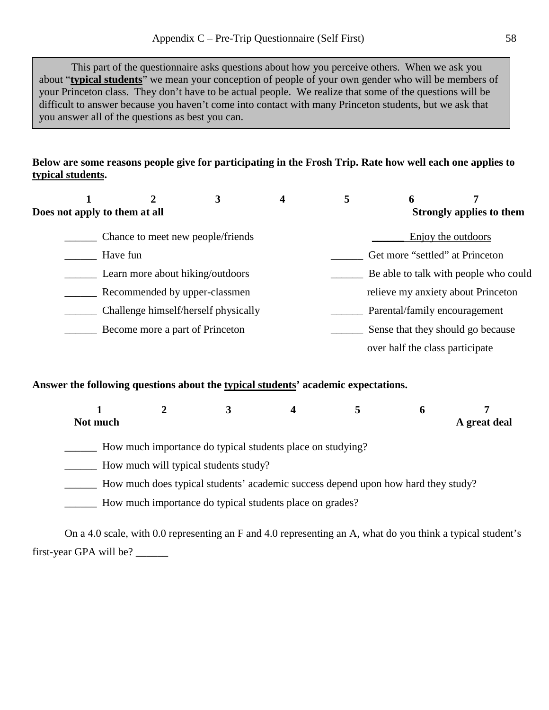This part of the questionnaire asks questions about how you perceive others. When we ask you about "**typical students**" we mean your conception of people of your own gender who will be members of your Princeton class. They don't have to be actual people. We realize that some of the questions will be difficult to answer because you haven't come into contact with many Princeton students, but we ask that you answer all of the questions as best you can.

# **Below are some reasons people give for participating in the Frosh Trip. Rate how well each one applies to typical students.**

| Does not apply to them at all        | 3 | 4 | 5 | 6                               | <b>Strongly applies to them</b>       |
|--------------------------------------|---|---|---|---------------------------------|---------------------------------------|
| Chance to meet new people/friends    |   |   |   |                                 | Enjoy the outdoors                    |
| Have fun                             |   |   |   |                                 | Get more "settled" at Princeton       |
| Learn more about hiking/outdoors     |   |   |   |                                 | Be able to talk with people who could |
| Recommended by upper-classmen        |   |   |   |                                 | relieve my anxiety about Princeton    |
| Challenge himself/herself physically |   |   |   |                                 | Parental/family encouragement         |
| Become more a part of Princeton      |   |   |   |                                 | Sense that they should go because     |
|                                      |   |   |   | over half the class participate |                                       |

### **Answer the following questions about the typical students' academic expectations.**

| Not much |  |  | A great deal |
|----------|--|--|--------------|

\_\_\_\_\_\_ How much importance do typical students place on studying?

\_\_\_\_\_\_ How much will typical students study?

- How much does typical students' academic success depend upon how hard they study?
- \_\_\_\_\_\_ How much importance do typical students place on grades?

On a 4.0 scale, with 0.0 representing an F and 4.0 representing an A, what do you think a typical student's first-year GPA will be? \_\_\_\_\_\_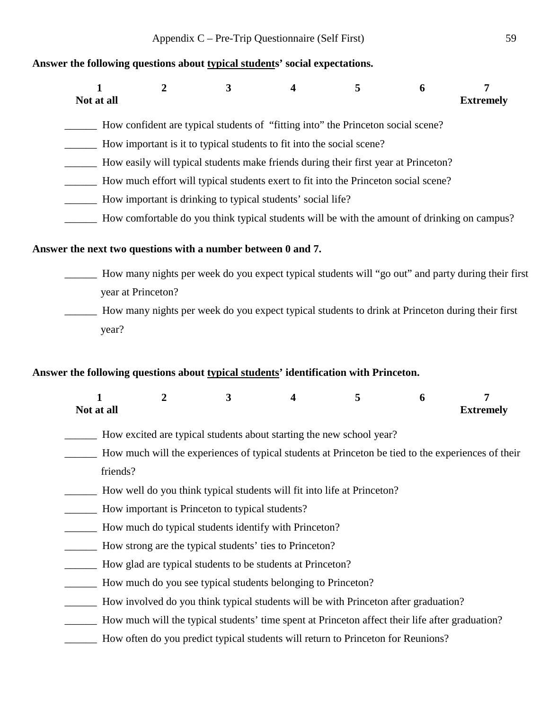#### **Answer the following questions about typical students' social expectations.**

| Not at all                                                                            | 2                  | 3 | 4                                                                                            | 5 | 6 | 7<br><b>Extremely</b>                                                                              |  |  |
|---------------------------------------------------------------------------------------|--------------------|---|----------------------------------------------------------------------------------------------|---|---|----------------------------------------------------------------------------------------------------|--|--|
|                                                                                       |                    |   | How confident are typical students of "fitting into" the Princeton social scene?             |   |   |                                                                                                    |  |  |
|                                                                                       |                    |   | How important is it to typical students to fit into the social scene?                        |   |   |                                                                                                    |  |  |
|                                                                                       |                    |   | How easily will typical students make friends during their first year at Princeton?          |   |   |                                                                                                    |  |  |
|                                                                                       |                    |   | How much effort will typical students exert to fit into the Princeton social scene?          |   |   |                                                                                                    |  |  |
| How important is drinking to typical students' social life?                           |                    |   |                                                                                              |   |   |                                                                                                    |  |  |
|                                                                                       |                    |   | How comfortable do you think typical students will be with the amount of drinking on campus? |   |   |                                                                                                    |  |  |
| Answer the next two questions with a number between 0 and 7.                          |                    |   |                                                                                              |   |   |                                                                                                    |  |  |
|                                                                                       |                    |   |                                                                                              |   |   | How many nights per week do you expect typical students will "go out" and party during their first |  |  |
|                                                                                       | year at Princeton? |   |                                                                                              |   |   |                                                                                                    |  |  |
|                                                                                       |                    |   |                                                                                              |   |   | How many nights per week do you expect typical students to drink at Princeton during their first   |  |  |
| year?                                                                                 |                    |   |                                                                                              |   |   |                                                                                                    |  |  |
|                                                                                       |                    |   |                                                                                              |   |   |                                                                                                    |  |  |
| Answer the following questions about typical students' identification with Princeton. |                    |   |                                                                                              |   |   |                                                                                                    |  |  |

| Not at all |  |  | <b>Extremely</b> |
|------------|--|--|------------------|

- \_\_\_\_\_\_ How excited are typical students about starting the new school year?
- \_\_\_\_\_\_ How much will the experiences of typical students at Princeton be tied to the experiences of their friends?
- \_\_\_\_\_\_ How well do you think typical students will fit into life at Princeton?
- How important is Princeton to typical students?
- \_\_\_\_\_\_ How much do typical students identify with Princeton?
- \_\_\_\_\_\_ How strong are the typical students' ties to Princeton?
- \_\_\_\_\_\_ How glad are typical students to be students at Princeton?
- \_\_\_\_\_\_ How much do you see typical students belonging to Princeton?
- \_\_\_\_\_\_ How involved do you think typical students will be with Princeton after graduation?
- \_\_\_\_\_\_ How much will the typical students' time spent at Princeton affect their life after graduation?
- \_\_\_\_\_\_ How often do you predict typical students will return to Princeton for Reunions?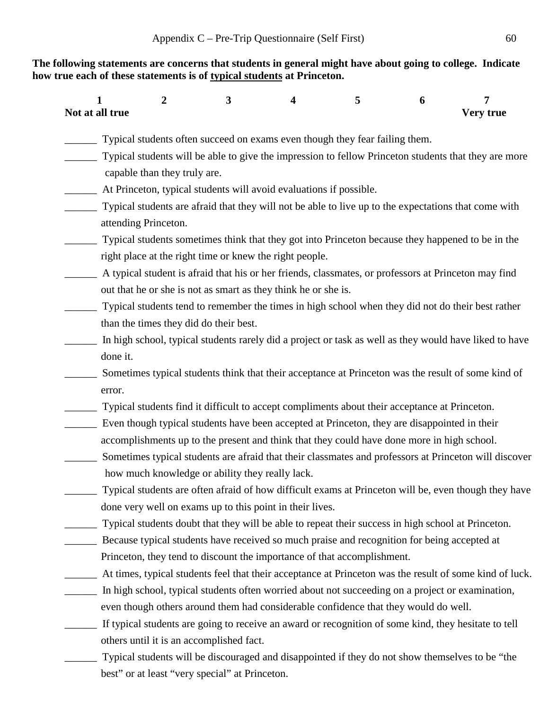**The following statements are concerns that students in general might have about going to college. Indicate how true each of these statements is of typical students at Princeton.**

| 1<br>Not at all true | 2                            | 3                                               | 4                                                                                                  | 5 | 6 | 7<br>Very true                                                                                          |
|----------------------|------------------------------|-------------------------------------------------|----------------------------------------------------------------------------------------------------|---|---|---------------------------------------------------------------------------------------------------------|
|                      |                              |                                                 | Typical students often succeed on exams even though they fear failing them.                        |   |   |                                                                                                         |
|                      |                              |                                                 |                                                                                                    |   |   | Typical students will be able to give the impression to fellow Princeton students that they are more    |
|                      | capable than they truly are. |                                                 |                                                                                                    |   |   |                                                                                                         |
|                      |                              |                                                 | At Princeton, typical students will avoid evaluations if possible.                                 |   |   |                                                                                                         |
|                      |                              |                                                 |                                                                                                    |   |   | Typical students are afraid that they will not be able to live up to the expectations that come with    |
|                      | attending Princeton.         |                                                 |                                                                                                    |   |   |                                                                                                         |
|                      |                              |                                                 |                                                                                                    |   |   | Typical students sometimes think that they got into Princeton because they happened to be in the        |
|                      |                              |                                                 | right place at the right time or knew the right people.                                            |   |   |                                                                                                         |
|                      |                              |                                                 |                                                                                                    |   |   | A typical student is afraid that his or her friends, classmates, or professors at Princeton may find    |
|                      |                              |                                                 | out that he or she is not as smart as they think he or she is.                                     |   |   |                                                                                                         |
|                      |                              |                                                 |                                                                                                    |   |   | Typical students tend to remember the times in high school when they did not do their best rather       |
|                      |                              | than the times they did do their best.          |                                                                                                    |   |   |                                                                                                         |
|                      |                              |                                                 |                                                                                                    |   |   | In high school, typical students rarely did a project or task as well as they would have liked to have  |
| done it.             |                              |                                                 |                                                                                                    |   |   |                                                                                                         |
|                      |                              |                                                 |                                                                                                    |   |   | Sometimes typical students think that their acceptance at Princeton was the result of some kind of      |
| error.               |                              |                                                 |                                                                                                    |   |   |                                                                                                         |
|                      |                              |                                                 | Typical students find it difficult to accept compliments about their acceptance at Princeton.      |   |   |                                                                                                         |
|                      |                              |                                                 | Even though typical students have been accepted at Princeton, they are disappointed in their       |   |   |                                                                                                         |
|                      |                              |                                                 | accomplishments up to the present and think that they could have done more in high school.         |   |   |                                                                                                         |
|                      |                              |                                                 |                                                                                                    |   |   | Sometimes typical students are afraid that their classmates and professors at Princeton will discover   |
|                      |                              | how much knowledge or ability they really lack. |                                                                                                    |   |   |                                                                                                         |
|                      |                              |                                                 |                                                                                                    |   |   | Typical students are often afraid of how difficult exams at Princeton will be, even though they have    |
|                      |                              |                                                 | done very well on exams up to this point in their lives.                                           |   |   |                                                                                                         |
|                      |                              |                                                 | Typical students doubt that they will be able to repeat their success in high school at Princeton. |   |   |                                                                                                         |
|                      |                              |                                                 | Because typical students have received so much praise and recognition for being accepted at        |   |   |                                                                                                         |
|                      |                              |                                                 | Princeton, they tend to discount the importance of that accomplishment.                            |   |   |                                                                                                         |
|                      |                              |                                                 |                                                                                                    |   |   | At times, typical students feel that their acceptance at Princeton was the result of some kind of luck. |
|                      |                              |                                                 | In high school, typical students often worried about not succeeding on a project or examination,   |   |   |                                                                                                         |
|                      |                              |                                                 | even though others around them had considerable confidence that they would do well.                |   |   |                                                                                                         |
|                      |                              |                                                 |                                                                                                    |   |   | If typical students are going to receive an award or recognition of some kind, they hesitate to tell    |
|                      |                              | others until it is an accomplished fact.        |                                                                                                    |   |   |                                                                                                         |
|                      |                              |                                                 |                                                                                                    |   |   |                                                                                                         |

Typical students will be discouraged and disappointed if they do not show themselves to be "the best" or at least "very special" at Princeton.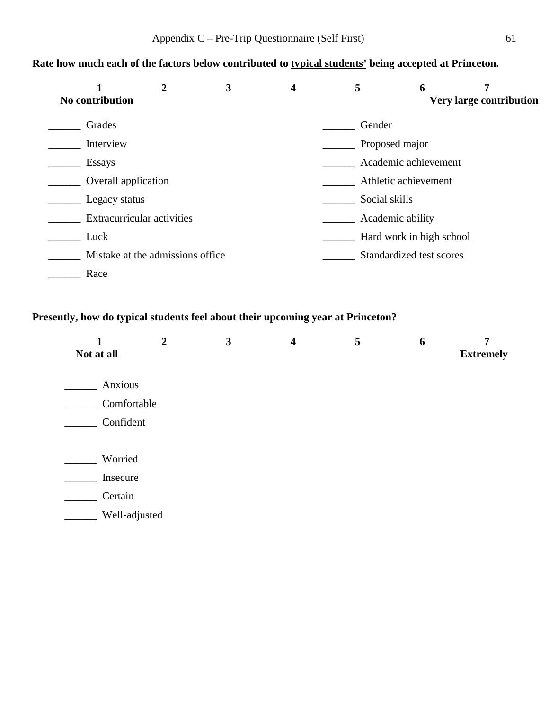# **Rate how much each of the factors below contributed to typical students' being accepted at Princeton.**

| No contribution     |                                   | 3 | 4 |                      | 6                        | 7<br>Very large contribution |  |  |  |
|---------------------|-----------------------------------|---|---|----------------------|--------------------------|------------------------------|--|--|--|
|                     |                                   |   |   |                      |                          |                              |  |  |  |
| Grades              |                                   |   |   | Gender               |                          |                              |  |  |  |
| Interview           |                                   |   |   | Proposed major       |                          |                              |  |  |  |
| <b>Essays</b>       |                                   |   |   | Academic achievement |                          |                              |  |  |  |
| Overall application |                                   |   |   | Athletic achievement |                          |                              |  |  |  |
|                     | Legacy status                     |   |   |                      | Social skills            |                              |  |  |  |
|                     | <b>Extracurricular activities</b> |   |   |                      | Academic ability         |                              |  |  |  |
| Luck                |                                   |   |   |                      | Hard work in high school |                              |  |  |  |
|                     | Mistake at the admissions office  |   |   |                      | Standardized test scores |                              |  |  |  |
| Race                |                                   |   |   |                      |                          |                              |  |  |  |

# **Presently, how do typical students feel about their upcoming year at Princeton?**

| 1<br>Not at all | $\overline{2}$ | 3 | $\overline{\mathbf{4}}$ | 5 | 6 | 7<br><b>Extremely</b> |
|-----------------|----------------|---|-------------------------|---|---|-----------------------|
| Anxious         |                |   |                         |   |   |                       |
| Comfortable     |                |   |                         |   |   |                       |
| Confident       |                |   |                         |   |   |                       |
|                 |                |   |                         |   |   |                       |
| Worried         |                |   |                         |   |   |                       |
| Insecure        |                |   |                         |   |   |                       |
| Certain         |                |   |                         |   |   |                       |
| Well-adjusted   |                |   |                         |   |   |                       |
|                 |                |   |                         |   |   |                       |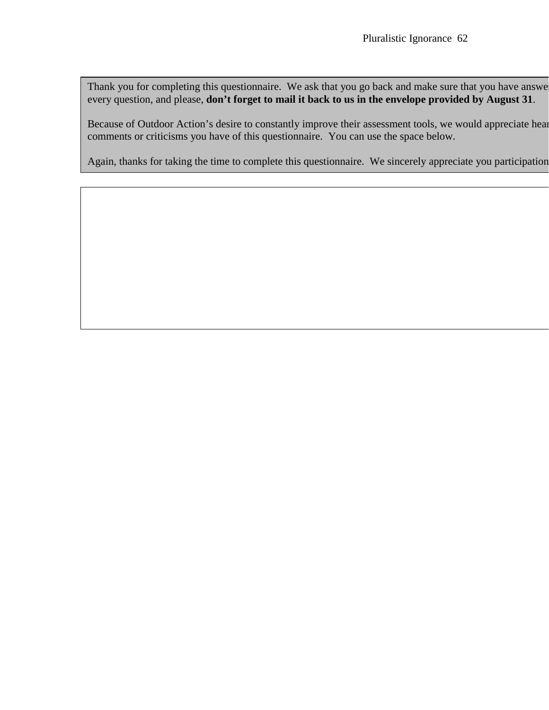Thank you for completing this questionnaire. We ask that you go back and make sure that you have answer every question, and please, **don't forget to mail it back to us in the envelope provided by August 31**.

Because of Outdoor Action's desire to constantly improve their assessment tools, we would appreciate hear comments or criticisms you have of this questionnaire. You can use the space below.

Again, thanks for taking the time to complete this questionnaire. We sincerely appreciate you participation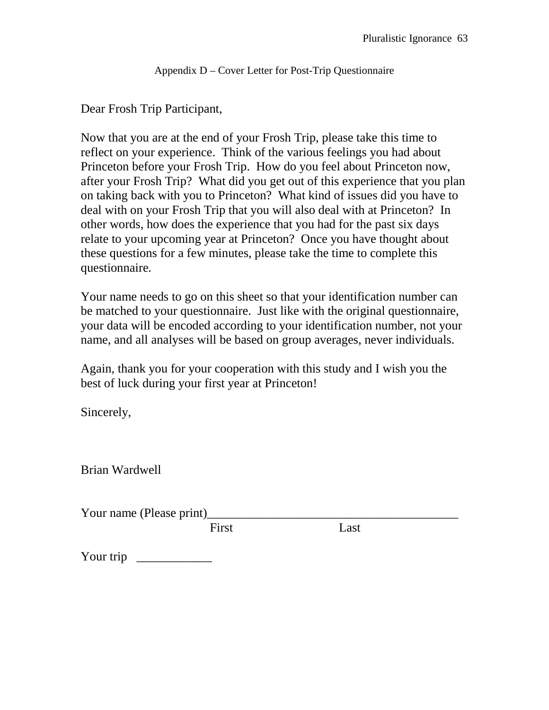Appendix D – Cover Letter for Post-Trip Questionnaire

Dear Frosh Trip Participant,

Now that you are at the end of your Frosh Trip, please take this time to reflect on your experience. Think of the various feelings you had about Princeton before your Frosh Trip. How do you feel about Princeton now, after your Frosh Trip? What did you get out of this experience that you plan on taking back with you to Princeton? What kind of issues did you have to deal with on your Frosh Trip that you will also deal with at Princeton? In other words, how does the experience that you had for the past six days relate to your upcoming year at Princeton? Once you have thought about these questions for a few minutes, please take the time to complete this questionnaire*.*

Your name needs to go on this sheet so that your identification number can be matched to your questionnaire. Just like with the original questionnaire, your data will be encoded according to your identification number, not your name, and all analyses will be based on group averages, never individuals.

Again, thank you for your cooperation with this study and I wish you the best of luck during your first year at Princeton!

Sincerely,

Brian Wardwell

Your name (Please print)

First Last

Your trip  $\frac{1}{\sqrt{1-\frac{1}{2}}\cdot\frac{1}{\sqrt{1-\frac{1}{2}}}}$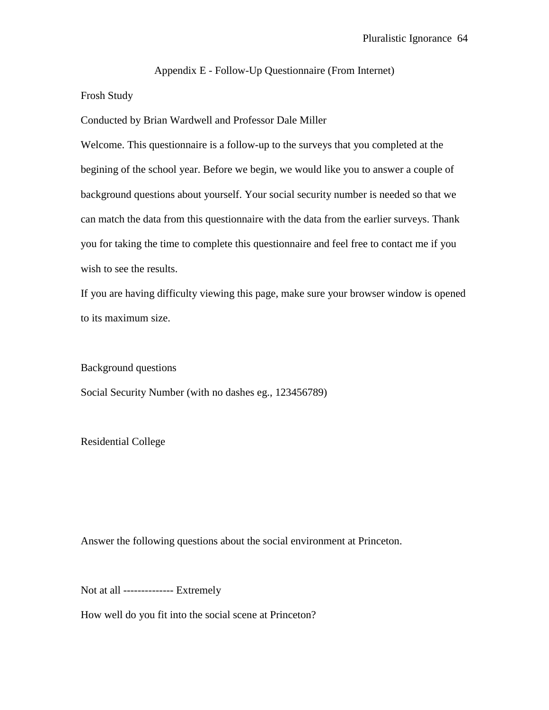Appendix E - Follow-Up Questionnaire (From Internet)

# Frosh Study

Conducted by Brian Wardwell and Professor Dale Miller

Welcome. This questionnaire is a follow-up to the surveys that you completed at the begining of the school year. Before we begin, we would like you to answer a couple of background questions about yourself. Your social security number is needed so that we can match the data from this questionnaire with the data from the earlier surveys. Thank you for taking the time to complete this questionnaire and feel free to contact me if you wish to see the results.

If you are having difficulty viewing this page, make sure your browser window is opened to its maximum size.

Background questions

Social Security Number (with no dashes eg., 123456789)

Residential College

Answer the following questions about the social environment at Princeton.

Not at all -------------- Extremely

How well do you fit into the social scene at Princeton?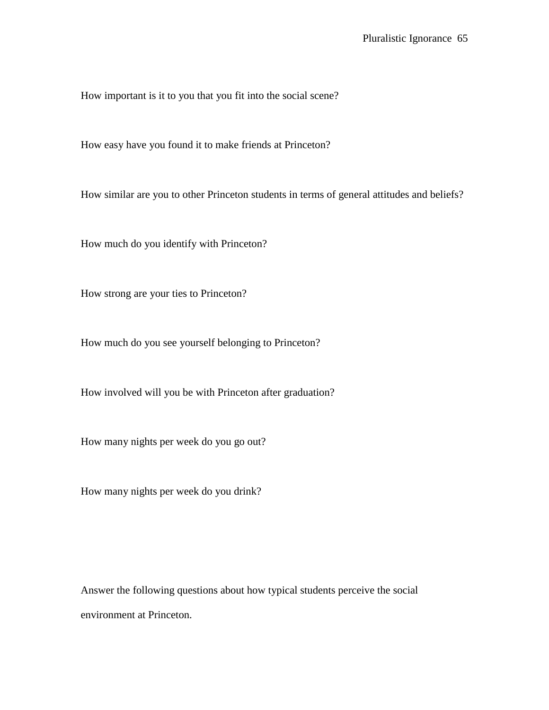How important is it to you that you fit into the social scene?

How easy have you found it to make friends at Princeton?

How similar are you to other Princeton students in terms of general attitudes and beliefs?

How much do you identify with Princeton?

How strong are your ties to Princeton?

How much do you see yourself belonging to Princeton?

How involved will you be with Princeton after graduation?

How many nights per week do you go out?

How many nights per week do you drink?

Answer the following questions about how typical students perceive the social environment at Princeton.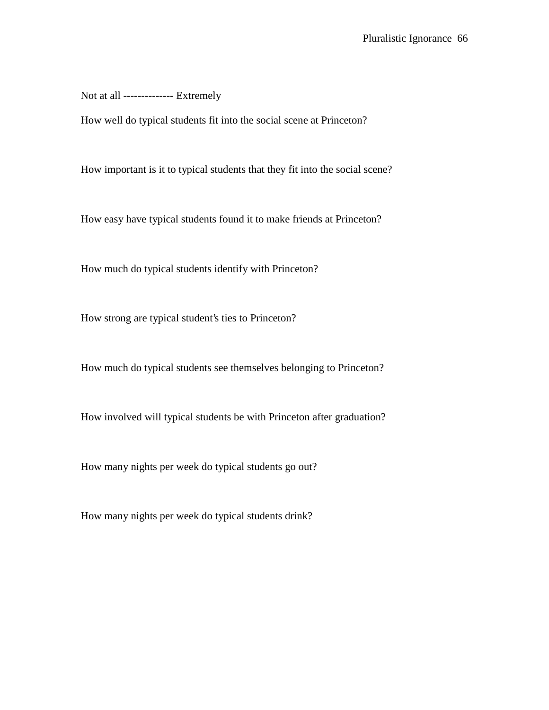Not at all -------------- Extremely

How well do typical students fit into the social scene at Princeton?

How important is it to typical students that they fit into the social scene?

How easy have typical students found it to make friends at Princeton?

How much do typical students identify with Princeton?

How strong are typical student's ties to Princeton?

How much do typical students see themselves belonging to Princeton?

How involved will typical students be with Princeton after graduation?

How many nights per week do typical students go out?

How many nights per week do typical students drink?